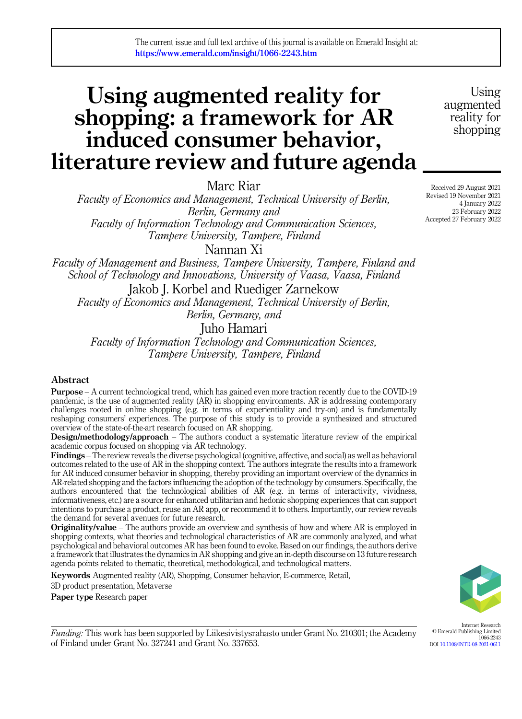# Using augmented reality for shopping: a framework for AR induced consumer behavior, literature review and future agenda

Marc Riar

Faculty of Economics and Management, Technical University of Berlin, Berlin, Germany and Faculty of Information Technology and Communication Sciences, Tampere University, Tampere, Finland

Nannan Xi

Faculty of Management and Business, Tampere University, Tampere, Finland and School of Technology and Innovations, University of Vaasa, Vaasa, Finland

Jakob J. Korbel and Ruediger Zarnekow Faculty of Economics and Management, Technical University of Berlin, Berlin, Germany, and

Juho Hamari

Faculty of Information Technology and Communication Sciences, Tampere University, Tampere, Finland

### Abstract

Purpose – A current technological trend, which has gained even more traction recently due to the COVID-19 pandemic, is the use of augmented reality (AR) in shopping environments. AR is addressing contemporary challenges rooted in online shopping (e.g. in terms of experientiality and try-on) and is fundamentally reshaping consumers' experiences. The purpose of this study is to provide a synthesized and structured overview of the state-of-the-art research focused on AR shopping.

Design/methodology/approach – The authors conduct a systematic literature review of the empirical academic corpus focused on shopping via AR technology.

Findings – The review reveals the diverse psychological (cognitive, affective, and social) as well as behavioral outcomes related to the use of AR in the shopping context. The authors integrate the results into a framework for AR induced consumer behavior in shopping, thereby providing an important overview of the dynamics in AR-related shopping and the factors influencing the adoption of the technology by consumers. Specifically, the authors encountered that the technological abilities of AR (e.g. in terms of interactivity, vividness, informativeness, etc.) are a source for enhanced utilitarian and hedonic shopping experiences that can support intentions to purchase a product, reuse an AR app, or recommend it to others. Importantly, our review reveals the demand for several avenues for future research.

**Originality/value** – The authors provide an overview and synthesis of how and where AR is employed in shopping contexts, what theories and technological characteristics of AR are commonly analyzed, and what psychological and behavioral outcomes AR has been found to evoke. Based on our findings, the authors derive a framework that illustrates the dynamics in AR shopping and give an in-depth discourse on 13 future research agenda points related to thematic, theoretical, methodological, and technological matters.

Keywords Augmented reality (AR), Shopping, Consumer behavior, E-commerce, Retail,

3D product presentation, Metaverse

Paper type Research paper



Internet Research © Emerald Publishing Limited

DOI [10.1108/INTR-08-2021-0611](https://doi.org/10.1108/INTR-08-2021-0611)

1066-2243

Funding: This work has been supported by Liikesivistysrahasto under Grant No. 210301; the Academy of Finland under Grant No. 327241 and Grant No. 337653.

Received 29 August 2021 Revised 19 November 2021 4 January 2022 23 February 2022 Accepted 27 February 2022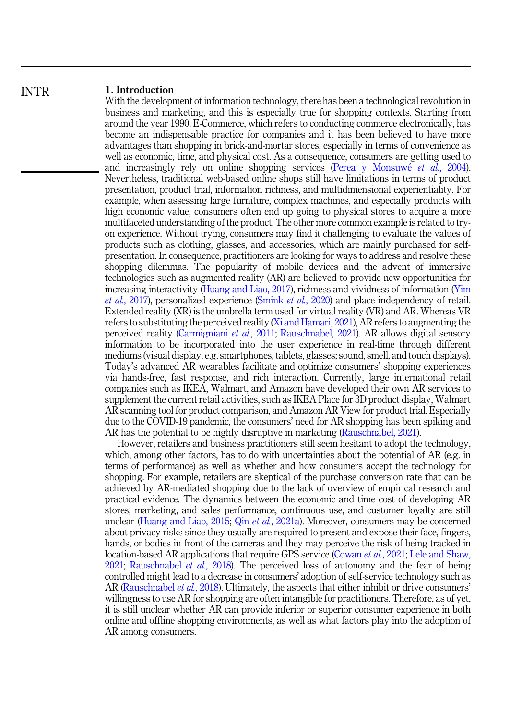#### 1. Introduction INTR

With the development of information technology, there has been a technological revolution in business and marketing, and this is especially true for shopping contexts. Starting from around the year 1990, E-Commerce, which refers to conducting commerce electronically, has become an indispensable practice for companies and it has been believed to have more advantages than shopping in brick-and-mortar stores, especially in terms of convenience as well as economic, time, and physical cost. As a consequence, consumers are getting used to and increasingly rely on online shopping services [\(Perea y Monsuw](#page-35-0)é et al.[, 2004\)](#page-35-0). Nevertheless, traditional web-based online shops still have limitations in terms of product presentation, product trial, information richness, and multidimensional experientiality. For example, when assessing large furniture, complex machines, and especially products with high economic value, consumers often end up going to physical stores to acquire a more multifaceted understanding of the product. The other more common example is related to tryon experience. Without trying, consumers may find it challenging to evaluate the values of products such as clothing, glasses, and accessories, which are mainly purchased for selfpresentation. In consequence, practitioners are looking for ways to address and resolve these shopping dilemmas. The popularity of mobile devices and the advent of immersive technologies such as augmented reality (AR) are believed to provide new opportunities for increasing interactivity ([Huang and Liao, 2017\)](#page-33-0), richness and vividness of information [\(Yim](#page-37-0) et al.[, 2017\)](#page-37-0), personalized experience ([Smink](#page-36-0) et al., 2020) and place independency of retail. Extended reality (XR) is the umbrella term used for virtual reality (VR) and AR. Whereas VR refers to substituting the perceived reality ([Xi and Hamari, 2021\)](#page-37-0), AR refers to augmenting the perceived reality ([Carmigniani](#page-31-0) et al., 2011; [Rauschnabel, 2021\)](#page-35-0). AR allows digital sensory information to be incorporated into the user experience in real-time through different mediums (visual display, e.g. smartphones, tablets, glasses; sound, smell, and touch displays). Today's advanced AR wearables facilitate and optimize consumers' shopping experiences via hands-free, fast response, and rich interaction. Currently, large international retail companies such as IKEA, Walmart, and Amazon have developed their own AR services to supplement the current retail activities, such as IKEA Place for 3D product display, Walmart AR scanning tool for product comparison, and Amazon AR View for product trial. Especially due to the COVID-19 pandemic, the consumers' need for AR shopping has been spiking and AR has the potential to be highly disruptive in marketing [\(Rauschnabel, 2021](#page-35-0)).

However, retailers and business practitioners still seem hesitant to adopt the technology, which, among other factors, has to do with uncertainties about the potential of AR (e.g. in terms of performance) as well as whether and how consumers accept the technology for shopping. For example, retailers are skeptical of the purchase conversion rate that can be achieved by AR-mediated shopping due to the lack of overview of empirical research and practical evidence. The dynamics between the economic and time cost of developing AR stores, marketing, and sales performance, continuous use, and customer loyalty are still unclear [\(Huang and Liao, 2015](#page-33-0); Qin et al.[, 2021a](#page-35-0)). Moreover, consumers may be concerned about privacy risks since they usually are required to present and expose their face, fingers, hands, or bodies in front of the cameras and they may perceive the risk of being tracked in location-based AR applications that require GPS service [\(Cowan](#page-32-0) *et al.*, 2021; [Lele and Shaw,](#page-34-0) [2021;](#page-34-0) [Rauschnabel](#page-35-0) *et al.*, 2018). The perceived loss of autonomy and the fear of being controlled might lead to a decrease in consumers' adoption of self-service technology such as AR ([Rauschnabel](#page-35-0) *et al.*, 2018). Ultimately, the aspects that either inhibit or drive consumers' willingness to use AR for shopping are often intangible for practitioners. Therefore, as of yet, it is still unclear whether AR can provide inferior or superior consumer experience in both online and offline shopping environments, as well as what factors play into the adoption of AR among consumers.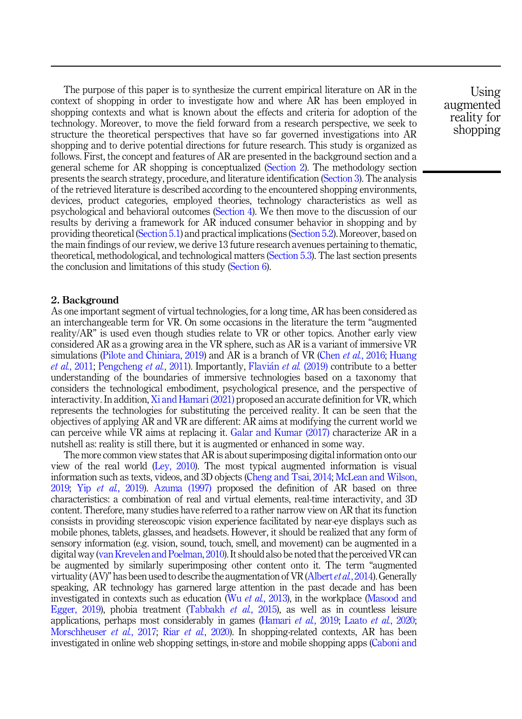The purpose of this paper is to synthesize the current empirical literature on AR in the context of shopping in order to investigate how and where AR has been employed in shopping contexts and what is known about the effects and criteria for adoption of the technology. Moreover, to move the field forward from a research perspective, we seek to structure the theoretical perspectives that have so far governed investigations into AR shopping and to derive potential directions for future research. This study is organized as follows. First, the concept and features of AR are presented in the background section and a general scheme for AR shopping is conceptualized (Section 2). The methodology section presents the search strategy, procedure, and literature identification ([Section 3\)](#page-3-0). The analysis of the retrieved literature is described according to the encountered shopping environments, devices, product categories, employed theories, technology characteristics as well as psychological and behavioral outcomes ([Section 4\)](#page-6-0). We then move to the discussion of our results by deriving a framework for AR induced consumer behavior in shopping and by providing theoretical ([Section 5.1\)](#page-23-0) and practical implications [\(Section 5.2](#page-24-0)). Moreover, based on the main findings of our review, we derive 13 future research avenues pertaining to thematic, theoretical, methodological, and technological matters ([Section 5.3\)](#page-25-0). The last section presents the conclusion and limitations of this study ([Section 6](#page-30-0)).

#### 2. Background

As one important segment of virtual technologies, for a long time, AR has been considered as an interchangeable term for VR. On some occasions in the literature the term "augmented reality/AR" is used even though studies relate to VR or other topics. Another early view considered AR as a growing area in the VR sphere, such as AR is a variant of immersive VR simulations [\(Pilote and Chiniara, 2019\)](#page-35-0) and AR is a branch of VR (Chen *et al.*[, 2016;](#page-31-0) [Huang](#page-33-0) et al.[, 2011](#page-33-0); [Pengcheng](#page-35-0) et al., 2011). Importantly, [Flavi](#page-32-0)an et al. [\(2019\)](#page-32-0) contribute to a better understanding of the boundaries of immersive technologies based on a taxonomy that considers the technological embodiment, psychological presence, and the perspective of interactivity. In addition, [Xi and Hamari \(2021\)](#page-37-0) proposed an accurate definition for VR, which represents the technologies for substituting the perceived reality. It can be seen that the objectives of applying AR and VR are different: AR aims at modifying the current world we can perceive while VR aims at replacing it. [Galar and Kumar \(2017\)](#page-32-0) characterize AR in a nutshell as: reality is still there, but it is augmented or enhanced in some way.

The more common view states that AR is about superimposing digital information onto our view of the real world [\(Ley, 2010](#page-34-0)). The most typical augmented information is visual information such as texts, videos, and 3D objects [\(Cheng and Tsai, 2014;](#page-31-0) [McLean and Wilson,](#page-34-0) [2019;](#page-34-0) Yip et al.[, 2019](#page-37-0)). Azuma  $(1997)$  proposed the definition of AR based on three characteristics: a combination of real and virtual elements, real-time interactivity, and 3D content. Therefore, many studies have referred to a rather narrow view on AR that its function consists in providing stereoscopic vision experience facilitated by near-eye displays such as mobile phones, tablets, glasses, and headsets. However, it should be realized that any form of sensory information (e.g. vision, sound, touch, smell, and movement) can be augmented in a digital way [\(van Krevelen and Poelman, 2010](#page-36-0)). It should also be noted that the perceived VR can be augmented by similarly superimposing other content onto it. The term "augmented virtuality (AV)" has been used to describe the augmentation of VR ([Albert](#page-31-0) *et al.*, 2014). Generally speaking, AR technology has garnered large attention in the past decade and has been investigated in contexts such as education (Wu et al.[, 2013](#page-36-0)), in the workplace [\(Masood and](#page-34-0) [Egger, 2019](#page-34-0)), phobia treatment [\(Tabbakh](#page-36-0) et al., 2015), as well as in countless leisure applications, perhaps most considerably in games [\(Hamari](#page-32-0) et al., 2019; Laato et al.[, 2020](#page-33-0); [Morschheuser](#page-34-0) et al., 2017; Riar et al.[, 2020\)](#page-35-0). In shopping-related contexts, AR has been investigated in online web shopping settings, in-store and mobile shopping apps ([Caboni and](#page-31-0)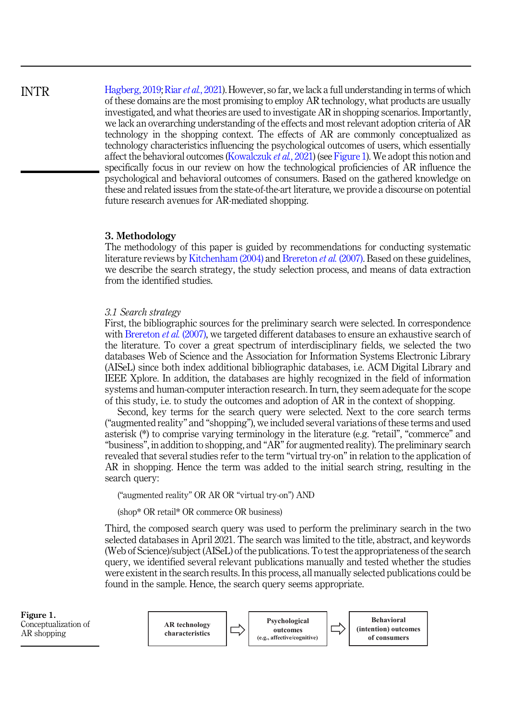[Hagberg, 2019](#page-31-0); Riar et al.[, 2021](#page-35-0)). However, so far, we lack a full understanding in terms of which of these domains are the most promising to employ AR technology, what products are usually investigated, and what theories are used to investigate AR in shopping scenarios. Importantly, we lack an overarching understanding of the effects and most relevant adoption criteria of AR technology in the shopping context. The effects of AR are commonly conceptualized as technology characteristics influencing the psychological outcomes of users, which essentially affect the behavioral outcomes [\(Kowalczuk](#page-33-0) *et al.*, 2021) (see Figure 1). We adopt this notion and specifically focus in our review on how the technological proficiencies of AR influence the psychological and behavioral outcomes of consumers. Based on the gathered knowledge on these and related issues from the state-of-the-art literature, we provide a discourse on potential future research avenues for AR-mediated shopping.

#### 3. Methodology

The methodology of this paper is guided by recommendations for conducting systematic literature reviews by [Kitchenham \(2004\)](#page-33-0) and [Brereton](#page-31-0) *et al.* (2007). Based on these guidelines, we describe the search strategy, the study selection process, and means of data extraction from the identified studies.

#### 3.1 Search strategy

First, the bibliographic sources for the preliminary search were selected. In correspondence with [Brereton](#page-31-0) et al. (2007), we targeted different databases to ensure an exhaustive search of the literature. To cover a great spectrum of interdisciplinary fields, we selected the two databases Web of Science and the Association for Information Systems Electronic Library (AISeL) since both index additional bibliographic databases, i.e. ACM Digital Library and IEEE Xplore. In addition, the databases are highly recognized in the field of information systems and human-computer interaction research. In turn, they seem adequate for the scope of this study, i.e. to study the outcomes and adoption of AR in the context of shopping.

Second, key terms for the search query were selected. Next to the core search terms ("augmented reality" and "shopping"), we included several variations of these terms and used asterisk (\*) to comprise varying terminology in the literature (e.g. "retail", "commerce" and "business", in addition to shopping, and "AR"for augmented reality). The preliminary search revealed that several studies refer to the term "virtual try-on" in relation to the application of AR in shopping. Hence the term was added to the initial search string, resulting in the search query:

("augmented reality" OR AR OR "virtual try-on") AND

(shop\* OR retail\* OR commerce OR business)

Third, the composed search query was used to perform the preliminary search in the two selected databases in April 2021. The search was limited to the title, abstract, and keywords (Web of Science)/subject (AISeL) of the publications. To test the appropriateness of the search query, we identified several relevant publications manually and tested whether the studies were existent in the search results. In this process, all manually selected publications could be found in the sample. Hence, the search query seems appropriate.



## <span id="page-3-0"></span>INTR

Figure 1.

AR shopping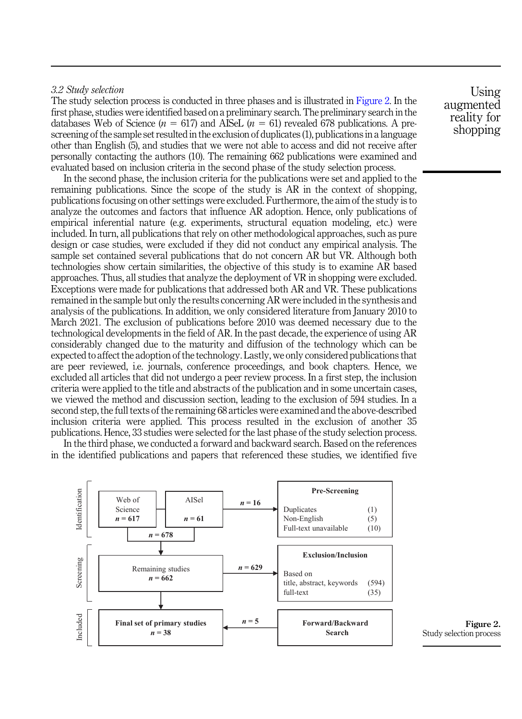#### 3.2 Study selection

The study selection process is conducted in three phases and is illustrated in Figure 2. In the first phase, studies were identified based on a preliminary search. The preliminary search in the databases Web of Science ( $n = 617$ ) and AISeL ( $n = 61$ ) revealed 678 publications. A prescreening of the sample set resulted in the exclusion of duplicates (1), publications in a language other than English (5), and studies that we were not able to access and did not receive after personally contacting the authors (10). The remaining 662 publications were examined and evaluated based on inclusion criteria in the second phase of the study selection process.

In the second phase, the inclusion criteria for the publications were set and applied to the remaining publications. Since the scope of the study is AR in the context of shopping, publications focusing on other settings were excluded. Furthermore, the aim of the study is to analyze the outcomes and factors that influence AR adoption. Hence, only publications of empirical inferential nature (e.g. experiments, structural equation modeling, etc.) were included. In turn, all publications that rely on other methodological approaches, such as pure design or case studies, were excluded if they did not conduct any empirical analysis. The sample set contained several publications that do not concern AR but VR. Although both technologies show certain similarities, the objective of this study is to examine AR based approaches. Thus, all studies that analyze the deployment of VR in shopping were excluded. Exceptions were made for publications that addressed both AR and VR. These publications remained in the sample but only the results concerning AR were included in the synthesis and analysis of the publications. In addition, we only considered literature from January 2010 to March 2021. The exclusion of publications before 2010 was deemed necessary due to the technological developments in the field of AR. In the past decade, the experience of using AR considerably changed due to the maturity and diffusion of the technology which can be expected to affect the adoption of the technology. Lastly, we only considered publications that are peer reviewed, i.e. journals, conference proceedings, and book chapters. Hence, we excluded all articles that did not undergo a peer review process. In a first step, the inclusion criteria were applied to the title and abstracts of the publication and in some uncertain cases, we viewed the method and discussion section, leading to the exclusion of 594 studies. In a second step, the full texts of the remaining 68 articles were examined and the above-described inclusion criteria were applied. This process resulted in the exclusion of another 35 publications. Hence, 33 studies were selected for the last phase of the study selection process.

In the third phase, we conducted a forward and backward search. Based on the references in the identified publications and papers that referenced these studies, we identified five



Using augmented reality for shopping

Study selection process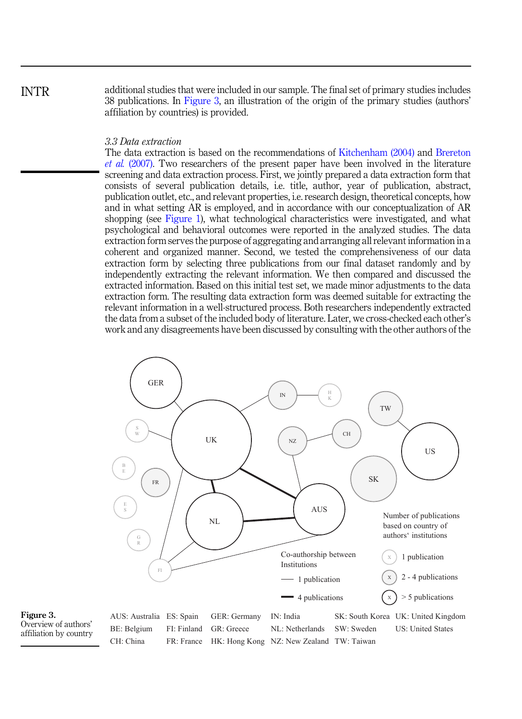INTR

additional studies that were included in our sample. The final set of primary studies includes 38 publications. In Figure 3, an illustration of the origin of the primary studies (authors' affiliation by countries) is provided.

#### 3.3 Data extraction

The data extraction is based on the recommendations of [Kitchenham \(2004\)](#page-33-0) and [Brereton](#page-31-0) et al. [\(2007\)](#page-31-0). Two researchers of the present paper have been involved in the literature screening and data extraction process. First, we jointly prepared a data extraction form that consists of several publication details, i.e. title, author, year of publication, abstract, publication outlet, etc., and relevant properties, i.e. research design, theoretical concepts, how and in what setting AR is employed, and in accordance with our conceptualization of AR shopping (see [Figure 1\)](#page-3-0), what technological characteristics were investigated, and what psychological and behavioral outcomes were reported in the analyzed studies. The data extraction form serves the purpose of aggregating and arranging all relevant information in a coherent and organized manner. Second, we tested the comprehensiveness of our data extraction form by selecting three publications from our final dataset randomly and by independently extracting the relevant information. We then compared and discussed the extracted information. Based on this initial test set, we made minor adjustments to the data extraction form. The resulting data extraction form was deemed suitable for extracting the relevant information in a well-structured process. Both researchers independently extracted the data from a subset of the included body of literature. Later, we cross-checked each other's work and any disagreements have been discussed by consulting with the other authors of the



Figure 3. Overview of authors' affiliation by country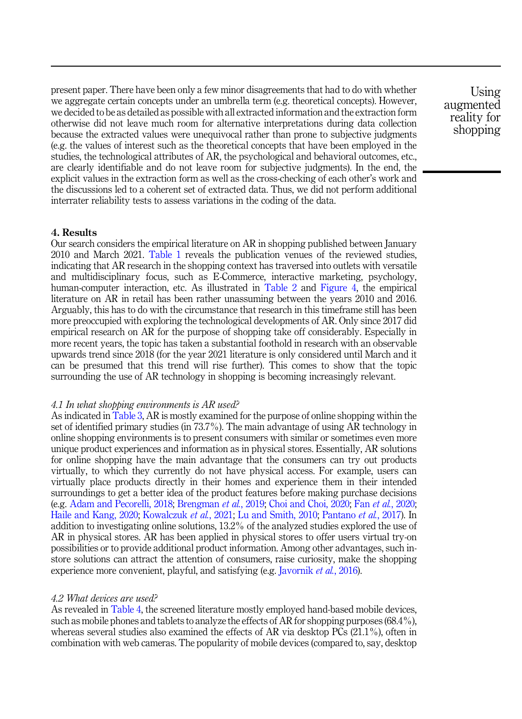<span id="page-6-0"></span>present paper. There have been only a few minor disagreements that had to do with whether we aggregate certain concepts under an umbrella term (e.g. theoretical concepts). However, we decided to be as detailed as possible with all extracted information and the extraction form otherwise did not leave much room for alternative interpretations during data collection because the extracted values were unequivocal rather than prone to subjective judgments (e.g. the values of interest such as the theoretical concepts that have been employed in the studies, the technological attributes of AR, the psychological and behavioral outcomes, etc., are clearly identifiable and do not leave room for subjective judgments). In the end, the explicit values in the extraction form as well as the cross-checking of each other's work and the discussions led to a coherent set of extracted data. Thus, we did not perform additional interrater reliability tests to assess variations in the coding of the data.

#### 4. Results

Our search considers the empirical literature on AR in shopping published between January 2010 and March 2021. [Table 1](#page-7-0) reveals the publication venues of the reviewed studies, indicating that AR research in the shopping context has traversed into outlets with versatile and multidisciplinary focus, such as E-Commerce, interactive marketing, psychology, human-computer interaction, etc. As illustrated in [Table 2](#page-8-0) and [Figure 4,](#page-8-0) the empirical literature on AR in retail has been rather unassuming between the years 2010 and 2016. Arguably, this has to do with the circumstance that research in this timeframe still has been more preoccupied with exploring the technological developments of AR. Only since 2017 did empirical research on AR for the purpose of shopping take off considerably. Especially in more recent years, the topic has taken a substantial foothold in research with an observable upwards trend since 2018 (for the year 2021 literature is only considered until March and it can be presumed that this trend will rise further). This comes to show that the topic surrounding the use of AR technology in shopping is becoming increasingly relevant.

#### 4.1 In what shopping environments is AR used?

As indicated in [Table 3](#page-8-0), AR is mostly examined for the purpose of online shopping within the set of identified primary studies (in 73.7%). The main advantage of using AR technology in online shopping environments is to present consumers with similar or sometimes even more unique product experiences and information as in physical stores. Essentially, AR solutions for online shopping have the main advantage that the consumers can try out products virtually, to which they currently do not have physical access. For example, users can virtually place products directly in their homes and experience them in their intended surroundings to get a better idea of the product features before making purchase decisions (e.g. [Adam and Pecorelli, 2018](#page-31-0); [Brengman](#page-31-0) et al., 2019; [Choi and Choi, 2020](#page-32-0); Fan et al.[, 2020](#page-32-0); [Haile and Kang, 2020;](#page-32-0) [Kowalczuk](#page-33-0) et al., 2021; [Lu and Smith, 2010](#page-34-0); [Pantano](#page-34-0) et al., 2017). In addition to investigating online solutions, 13.2% of the analyzed studies explored the use of AR in physical stores. AR has been applied in physical stores to offer users virtual try-on possibilities or to provide additional product information. Among other advantages, such instore solutions can attract the attention of consumers, raise curiosity, make the shopping experience more convenient, playful, and satisfying (e.g. [Javornik](#page-33-0) et al., 2016).

#### 4.2 What devices are used?

As revealed in [Table 4](#page-9-0), the screened literature mostly employed hand-based mobile devices, such as mobile phones and tablets to analyze the effects of AR for shopping purposes  $(68.4\%)$ , whereas several studies also examined the effects of AR via desktop PCs (21.1%), often in combination with web cameras. The popularity of mobile devices (compared to, say, desktop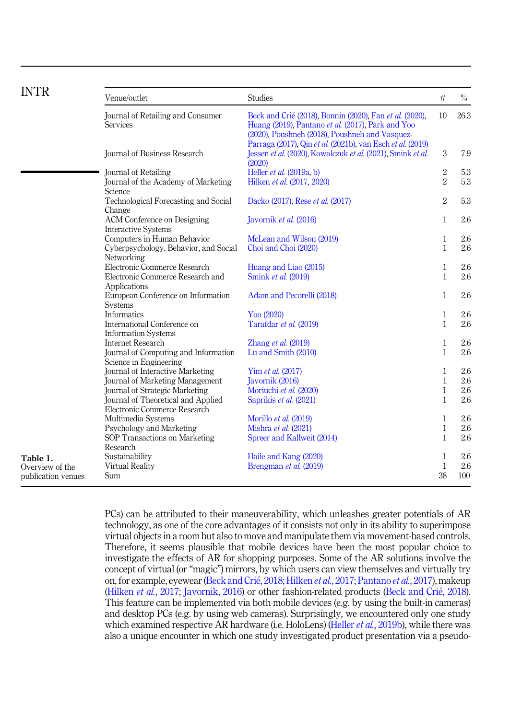<span id="page-7-0"></span>

| <b>INTR</b>                           |                                                                                    |                                                                                                                                                                                                                              |                              |            |
|---------------------------------------|------------------------------------------------------------------------------------|------------------------------------------------------------------------------------------------------------------------------------------------------------------------------------------------------------------------------|------------------------------|------------|
|                                       | Venue/outlet                                                                       | <b>Studies</b>                                                                                                                                                                                                               | $\#$                         | $\%$       |
|                                       | Journal of Retailing and Consumer<br><b>Services</b>                               | Beck and Crié (2018), Bonnin (2020), Fan et al. (2020),<br>Huang (2019), Pantano et al. (2017), Park and Yoo<br>(2020), Poushneh (2018), Poushneh and Vasquez-<br>Parraga (2017), Qin et al. (2021b), van Esch et al. (2019) | 10                           | 26.3       |
|                                       | Journal of Business Research                                                       | Jessen et al. (2020), Kowalczuk et al. (2021), Smink et al.<br>(2020)                                                                                                                                                        | 3                            | 7.9        |
|                                       | Journal of Retailing<br>Journal of the Academy of Marketing<br>Science             | Heller et al. (2019a, b)<br>Hilken et al. (2017, 2020)                                                                                                                                                                       | $\,2$<br>$\sqrt{2}$          | 5.3<br>5.3 |
|                                       | Technological Forecasting and Social<br>Change                                     | Dacko (2017), Rese et al. (2017)                                                                                                                                                                                             | $\,2$                        | 5.3        |
|                                       | ACM Conference on Designing<br><b>Interactive Systems</b>                          | Javornik et al. (2016)                                                                                                                                                                                                       | $\mathbf{1}$                 | 2.6        |
|                                       | Computers in Human Behavior<br>Cyberpsychology, Behavior, and Social<br>Networking | McLean and Wilson (2019)<br>Choi and Choi (2020)                                                                                                                                                                             | $\mathbf{1}$<br>$\mathbf{1}$ | 2.6<br>2.6 |
|                                       | Electronic Commerce Research<br>Electronic Commerce Research and                   | Huang and Liao (2015)<br>Smink et al. (2019)                                                                                                                                                                                 | $\mathbf{1}$<br>$\mathbf{1}$ | 2.6<br>2.6 |
|                                       | Applications<br>European Conference on Information<br><b>Systems</b>               | Adam and Pecorelli (2018)                                                                                                                                                                                                    | $\mathbf{1}$                 | 2.6        |
|                                       | Informatics                                                                        | Yoo (2020)                                                                                                                                                                                                                   | $\mathbf{1}$                 | 2.6        |
|                                       | International Conference on<br><b>Information Systems</b>                          | Tarafdar et al. (2019)                                                                                                                                                                                                       | $\mathbf{1}$                 | 2.6        |
|                                       | <b>Internet Research</b>                                                           | Zhang et al. $(2019)$                                                                                                                                                                                                        | $\mathbf{1}$                 | 2.6        |
|                                       | Journal of Computing and Information<br>Science in Engineering                     | Lu and Smith (2010)                                                                                                                                                                                                          | $\mathbf{1}$                 | 2.6        |
|                                       | Journal of Interactive Marketing                                                   | Yim et al. (2017)                                                                                                                                                                                                            | $\mathbf{1}$                 | 2.6        |
|                                       | Journal of Marketing Management                                                    | Javornik (2016)                                                                                                                                                                                                              | $\mathbf{1}$                 | 2.6        |
|                                       | Journal of Strategic Marketing                                                     | Moriuchi et al. (2020)                                                                                                                                                                                                       | $\mathbf{1}$                 | 2.6        |
|                                       | Journal of Theoretical and Applied<br>Electronic Commerce Research                 | Saprikis et al. (2021)                                                                                                                                                                                                       | $\mathbf{1}$                 | 2.6        |
|                                       | Multimedia Systems                                                                 | Morillo et al. (2019)                                                                                                                                                                                                        | $\mathbf{1}$                 | 2.6        |
|                                       | Psychology and Marketing                                                           | Mishra et al. (2021)                                                                                                                                                                                                         | $\mathbf{1}$                 | 2.6        |
|                                       | SOP Transactions on Marketing<br>Research                                          | Spreer and Kallweit (2014)                                                                                                                                                                                                   | $\mathbf{1}$                 | 2.6        |
| Table 1.                              | Sustainability                                                                     | Haile and Kang (2020)                                                                                                                                                                                                        | $\mathbf{1}$                 | 2.6        |
| Overview of the<br>publication venues | Virtual Reality<br>Sum                                                             | Brengman et al. (2019)                                                                                                                                                                                                       | $\mathbf{1}$<br>38           | 2.6<br>100 |

PCs) can be attributed to their maneuverability, which unleashes greater potentials of AR technology, as one of the core advantages of it consists not only in its ability to superimpose virtual objects in a room but also to move and manipulate them via movement-based controls. Therefore, it seems plausible that mobile devices have been the most popular choice to investigate the effects of AR for shopping purposes. Some of the AR solutions involve the concept of virtual (or "magic") mirrors, by which users can view themselves and virtually try on, for example, eyewear ([Beck and Cri](#page-31-0)é, 2018; [Hilken](#page-33-0) et al., 2017; [Pantano](#page-34-0) et al., 2017), makeup ([Hilken](#page-33-0) et al., 2017; [Javornik, 2016\)](#page-33-0) or other fashion-related products ([Beck and Cri](#page-31-0)é, 2018). This feature can be implemented via both mobile devices (e.g. by using the built-in cameras) and desktop PCs (e.g. by using web cameras). Surprisingly, we encountered only one study which examined respective AR hardware (i.e. HoloLens) (Heller *et al.*[, 2019b](#page-33-0)), while there was also a unique encounter in which one study investigated product presentation via a pseudo-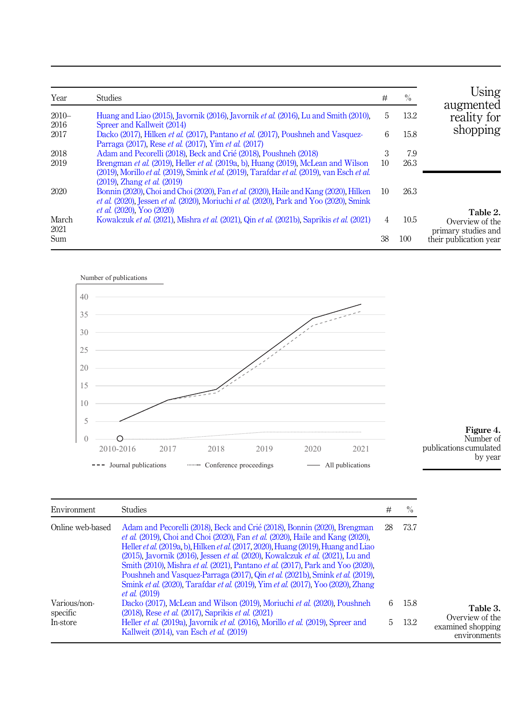<span id="page-8-0"></span>

| Year          | <b>Studies</b>                                                                                                                                                                                                              | #  | $\%$ | Using<br>augmented                                 |
|---------------|-----------------------------------------------------------------------------------------------------------------------------------------------------------------------------------------------------------------------------|----|------|----------------------------------------------------|
| $2010-$       | Huang and Liao (2015), Javornik (2016), Javornik <i>et al.</i> (2016), Lu and Smith (2010),                                                                                                                                 | 5  | 13.2 | reality for                                        |
| 2016          | Spreer and Kallweit (2014)                                                                                                                                                                                                  |    |      |                                                    |
| 2017          | Dacko (2017), Hilken et al. (2017), Pantano et al. (2017), Poushneh and Vasquez-<br>Parraga (2017), Rese <i>et al.</i> (2017), Yim <i>et al.</i> (2017)                                                                     | 6  | 15.8 | shopping                                           |
| 2018          | Adam and Pecorelli (2018), Beck and Crié (2018), Poushneh (2018)                                                                                                                                                            | 3  | 7.9  |                                                    |
| 2019          | Brengman et al. (2019). Heller et al. (2019a, b). Huang (2019). McLean and Wilson<br>(2019). Morillo et al. (2019). Smink et al. (2019). Tarafdar et al. (2019), van Esch et al.<br>$(2019)$ , Zhang <i>et al.</i> $(2019)$ | 10 | 26.3 |                                                    |
| 2020          | Bonnin (2020), Choi and Choi (2020), Fan et al. (2020), Haile and Kang (2020), Hilken<br>et al. (2020). Jessen et al. (2020). Moriuchi et al. (2020). Park and Yoo (2020). Smink<br><i>et al.</i> (2020), Yoo (2020)        | 10 | 26.3 |                                                    |
| March<br>2021 | Kowalczuk et al. (2021), Mishra et al. (2021), Qin et al. (2021b), Saprikis et al. (2021)                                                                                                                                   | 4  | 10.5 | Table 2.<br>Overview of the<br>primary studies and |
| Sum           |                                                                                                                                                                                                                             | 38 | 100  | their publication year                             |



| Figure 4.              |
|------------------------|
| Number of              |
| publications cumulated |
| by year                |

| Environment              | <b>Studies</b>                                                                                                                                                                                                                                                                                                                                                                                                                                                                                                                                                                                                                                  | #  | $\%$ |                                                      |
|--------------------------|-------------------------------------------------------------------------------------------------------------------------------------------------------------------------------------------------------------------------------------------------------------------------------------------------------------------------------------------------------------------------------------------------------------------------------------------------------------------------------------------------------------------------------------------------------------------------------------------------------------------------------------------------|----|------|------------------------------------------------------|
| Online web-based         | Adam and Pecorelli (2018), Beck and Crié (2018), Bonnin (2020), Brengman<br><i>et al.</i> (2019), Choi and Choi (2020), Fan <i>et al.</i> (2020), Haile and Kang (2020),<br>Heller <i>et al.</i> (2019a, b), Hilken <i>et al.</i> (2017, 2020), Huang (2019), Huang and Liao<br>(2015), Javornik (2016), Jessen et al. (2020), Kowalczuk et al. (2021), Lu and<br>Smith (2010), Mishra et al. (2021), Pantano et al. (2017), Park and Yoo (2020),<br>Poushneh and Vasquez-Parraga (2017). Qin et al. (2021b). Smink et al. (2019).<br>Smink et al. (2020). Tarafdar et al. (2019). Yim et al. (2017). Yoo (2020). Zhang<br><i>et al.</i> (2019) | 28 | 73.7 |                                                      |
| Various/non-<br>specific | Dacko (2017), McLean and Wilson (2019), Moriuchi et al. (2020), Poushneh<br>(2018), Rese <i>et al.</i> (2017), Saprikis <i>et al.</i> (2021)                                                                                                                                                                                                                                                                                                                                                                                                                                                                                                    | 6  | 15.8 | Table 3.                                             |
| In-store                 | Heller et al. (2019a). Javornik et al. (2016). Morillo et al. (2019). Spreer and<br>Kallweit (2014), van Esch et al. (2019)                                                                                                                                                                                                                                                                                                                                                                                                                                                                                                                     | 5. | 13.2 | Overview of the<br>examined shopping<br>environments |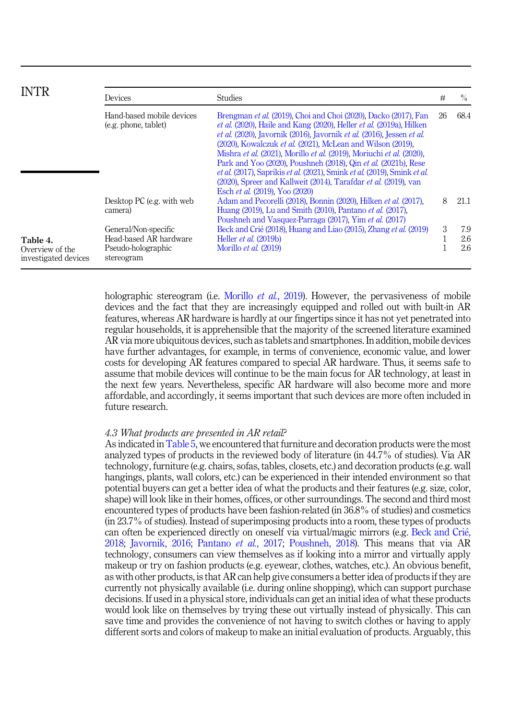<span id="page-9-0"></span>

| <b>INTR</b>                                         | Devices                                                                            | <b>Studies</b>                                                                                                                                                                                                                                                                                                                                                                                                                                                                                                                                                                                                         | #   | $\frac{0}{0}$     |
|-----------------------------------------------------|------------------------------------------------------------------------------------|------------------------------------------------------------------------------------------------------------------------------------------------------------------------------------------------------------------------------------------------------------------------------------------------------------------------------------------------------------------------------------------------------------------------------------------------------------------------------------------------------------------------------------------------------------------------------------------------------------------------|-----|-------------------|
|                                                     | Hand-based mobile devices<br>(e.g. phone, tablet)                                  | Brengman et al. (2019). Choi and Choi (2020). Dacko (2017). Fan<br><i>et al.</i> (2020), Haile and Kang (2020), Heller <i>et al.</i> (2019a), Hilken<br>et al. (2020), Javornik (2016), Javornik et al. (2016). Jessen et al.<br>(2020), Kowalczuk et al. (2021), McLean and Wilson (2019),<br>Mishra et al. (2021), Morillo et al. (2019), Moriuchi et al. (2020),<br>Park and Yoo (2020), Poushneh (2018), Qin et al. (2021b), Rese<br>et al. (2017), Saprikis et al. (2021), Smink et al. (2019), Smink et al.<br>(2020), Spreer and Kallweit (2014), Tarafdar et al. (2019), van<br>Esch et al. (2019), Yoo (2020) | -26 | 68.4              |
|                                                     | Desktop PC (e.g. with web<br>camera)                                               | Adam and Pecorelli (2018), Bonnin (2020), Hilken et al. (2017),<br>Huang (2019), Lu and Smith (2010), Pantano et al. (2017),<br>Poushneh and Vasquez-Parraga (2017), Yim et al. (2017)                                                                                                                                                                                                                                                                                                                                                                                                                                 | 8   | 21.1              |
| Table 4.<br>Overview of the<br>investigated devices | General/Non-specific<br>Head-based AR hardware<br>Pseudo-holographic<br>stereogram | Beck and Crié (2018). Huang and Liao (2015). Zhang et al. (2019)<br>Heller et al. (2019b)<br>Morillo et al. (2019)                                                                                                                                                                                                                                                                                                                                                                                                                                                                                                     | 3   | 7.9<br>2.6<br>2.6 |

holographic stereogram (i.e. [Morillo](#page-34-0) *et al.*, 2019). However, the pervasiveness of mobile devices and the fact that they are increasingly equipped and rolled out with built-in AR features, whereas AR hardware is hardly at our fingertips since it has not yet penetrated into regular households, it is apprehensible that the majority of the screened literature examined AR via more ubiquitous devices, such as tablets and smartphones. In addition, mobile devices have further advantages, for example, in terms of convenience, economic value, and lower costs for developing AR features compared to special AR hardware. Thus, it seems safe to assume that mobile devices will continue to be the main focus for AR technology, at least in the next few years. Nevertheless, specific AR hardware will also become more and more affordable, and accordingly, it seems important that such devices are more often included in future research.

#### 4.3 What products are presented in AR retail?

As indicated in [Table 5,](#page-10-0) we encountered that furniture and decoration products were the most analyzed types of products in the reviewed body of literature (in 44.7% of studies). Via AR technology, furniture (e.g. chairs, sofas, tables, closets, etc.) and decoration products (e.g. wall hangings, plants, wall colors, etc.) can be experienced in their intended environment so that potential buyers can get a better idea of what the products and their features (e.g. size, color, shape) will look like in their homes, offices, or other surroundings. The second and third most encountered types of products have been fashion-related (in 36.8% of studies) and cosmetics (in 23.7% of studies). Instead of superimposing products into a room, these types of products can often be experienced directly on oneself via virtual/magic mirrors (e.g. [Beck and Cri](#page-31-0)[e,](#page-31-0) [2018;](#page-31-0) [Javornik, 2016](#page-33-0); [Pantano](#page-34-0) et al., 2017; [Poushneh, 2018](#page-35-0)). This means that via AR technology, consumers can view themselves as if looking into a mirror and virtually apply makeup or try on fashion products (e.g. eyewear, clothes, watches, etc.). An obvious benefit, as with other products, is that AR can help give consumers a better idea of products if they are currently not physically available (i.e. during online shopping), which can support purchase decisions. If used in a physical store, individuals can get an initial idea of what these products would look like on themselves by trying these out virtually instead of physically. This can save time and provides the convenience of not having to switch clothes or having to apply different sorts and colors of makeup to make an initial evaluation of products. Arguably, this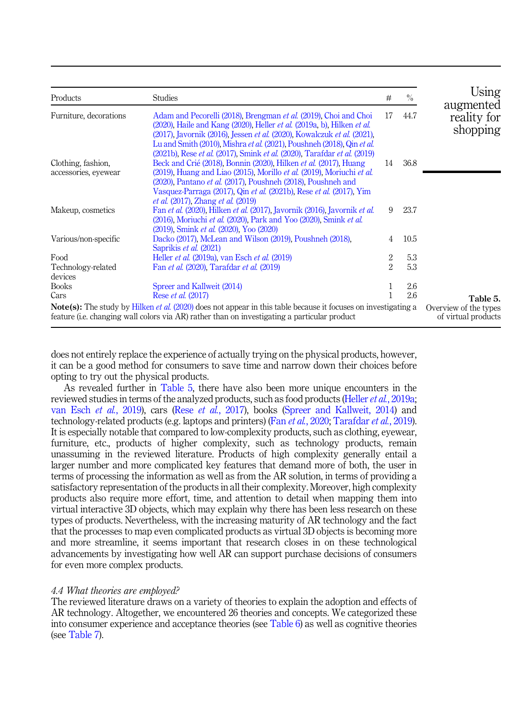<span id="page-10-0"></span>

| Products                                                                                                                                                                                                                     | <b>Studies</b>                                                                                                                                                                                                                                                                                                                                                                                     | #              | $\frac{0}{0}$ | Using                                |
|------------------------------------------------------------------------------------------------------------------------------------------------------------------------------------------------------------------------------|----------------------------------------------------------------------------------------------------------------------------------------------------------------------------------------------------------------------------------------------------------------------------------------------------------------------------------------------------------------------------------------------------|----------------|---------------|--------------------------------------|
| Furniture, decorations                                                                                                                                                                                                       | Adam and Pecorelli (2018), Brengman et al. (2019), Choi and Choi<br>$(2020)$ , Haile and Kang $(2020)$ , Heller <i>et al.</i> $(2019a, b)$ , Hilken <i>et al.</i><br>(2017), Javornik (2016), Jessen et al. (2020), Kowalczuk et al. (2021),<br>Lu and Smith (2010), Mishra et al. (2021), Poushneh (2018), Qin et al.<br>(2021b), Rese et al. (2017), Smink et al. (2020), Tarafdar et al. (2019) | 17             | 44.7          | augmented<br>reality for<br>shopping |
| Clothing, fashion,<br>accessories, eyewear                                                                                                                                                                                   | Beck and Crié (2018), Bonnin (2020), Hilken et al. (2017), Huang<br>(2019), Huang and Liao (2015), Morillo et al. (2019), Moriuchi et al.<br>(2020), Pantano et al. (2017), Poushneh (2018), Poushneh and<br>Vasquez-Parraga (2017), Qin et al. (2021b), Rese et al. (2017), Yim<br><i>et al.</i> (2017), Zhang <i>et al.</i> (2019)                                                               | 14             | 36.8          |                                      |
| Makeup, cosmetics                                                                                                                                                                                                            | Fan et al. (2020). Hilken et al. (2017). Javornik (2016). Javornik et al.<br>(2016), Moriuchi et al. (2020), Park and Yoo (2020), Smink et al.<br>(2019). Smink et al. (2020). Yoo (2020)                                                                                                                                                                                                          | 9              | 23.7          |                                      |
| Various/non-specific                                                                                                                                                                                                         | Dacko (2017), McLean and Wilson (2019), Poushneh (2018),<br>Saprikis et al. (2021)                                                                                                                                                                                                                                                                                                                 | 4              | 10.5          |                                      |
| Food                                                                                                                                                                                                                         | Heller <i>et al.</i> (2019a), van Esch <i>et al.</i> (2019)                                                                                                                                                                                                                                                                                                                                        | 2              | 5.3           |                                      |
| Technology-related<br>devices                                                                                                                                                                                                | Fan et al. (2020), Tarafdar et al. (2019)                                                                                                                                                                                                                                                                                                                                                          | $\overline{2}$ | 5.3           |                                      |
| <b>Books</b>                                                                                                                                                                                                                 | Spreer and Kallweit (2014)                                                                                                                                                                                                                                                                                                                                                                         |                | 2.6           |                                      |
| Cars                                                                                                                                                                                                                         | Rese <i>et al.</i> (2017)                                                                                                                                                                                                                                                                                                                                                                          |                | 2.6           | Table 5.                             |
| <b>Note(s):</b> The study by Hilken <i>et al.</i> (2020) does not appear in this table because it focuses on investigating a<br>feature (i.e. changing wall colors via AR) rather than on investigating a particular product | Overview of the types<br>of virtual products                                                                                                                                                                                                                                                                                                                                                       |                |               |                                      |

does not entirely replace the experience of actually trying on the physical products, however, it can be a good method for consumers to save time and narrow down their choices before opting to try out the physical products.

As revealed further in Table 5, there have also been more unique encounters in the reviewed studies in terms of the analyzed products, such as food products (Heller *et al.*[, 2019a](#page-32-0); [van Esch](#page-36-0) et al., 2019), cars (Rese et al.[, 2017\)](#page-35-0), books [\(Spreer and Kallweit, 2014\)](#page-36-0) and technology-related products (e.g. laptops and printers) (Fan et al.[, 2020](#page-32-0); [Tarafdar](#page-36-0) et al., 2019). It is especially notable that compared to low-complexity products, such as clothing, eyewear, furniture, etc., products of higher complexity, such as technology products, remain unassuming in the reviewed literature. Products of high complexity generally entail a larger number and more complicated key features that demand more of both, the user in terms of processing the information as well as from the AR solution, in terms of providing a satisfactory representation of the products in all their complexity. Moreover, high complexity products also require more effort, time, and attention to detail when mapping them into virtual interactive 3D objects, which may explain why there has been less research on these types of products. Nevertheless, with the increasing maturity of AR technology and the fact that the processes to map even complicated products as virtual 3D objects is becoming more and more streamline, it seems important that research closes in on these technological advancements by investigating how well AR can support purchase decisions of consumers for even more complex products.

#### 4.4 What theories are employed?

The reviewed literature draws on a variety of theories to explain the adoption and effects of AR technology. Altogether, we encountered 26 theories and concepts. We categorized these into consumer experience and acceptance theories (see [Table 6\)](#page-11-0) as well as cognitive theories (see [Table 7\)](#page-14-0).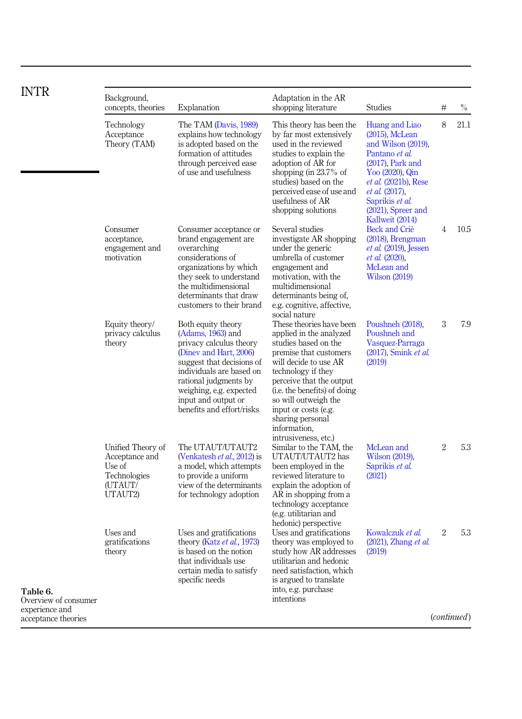<span id="page-11-0"></span>

| <b>INTR</b>                           | Background,<br>concepts, theories                                                   | Explanation                                                                                                                                                                                                                                                     | Adaptation in the AR<br>shopping literature                                                                                                                                                                                                                                                                                          | <b>Studies</b>                                                                                                                                                                                                                               | #              | $\%$                 |
|---------------------------------------|-------------------------------------------------------------------------------------|-----------------------------------------------------------------------------------------------------------------------------------------------------------------------------------------------------------------------------------------------------------------|--------------------------------------------------------------------------------------------------------------------------------------------------------------------------------------------------------------------------------------------------------------------------------------------------------------------------------------|----------------------------------------------------------------------------------------------------------------------------------------------------------------------------------------------------------------------------------------------|----------------|----------------------|
|                                       | Technology<br>Acceptance<br>Theory (TAM)                                            | The TAM (Davis, 1989)<br>explains how technology<br>is adopted based on the<br>formation of attitudes<br>through perceived ease<br>of use and usefulness                                                                                                        | This theory has been the<br>by far most extensively<br>used in the reviewed<br>studies to explain the<br>adoption of AR for<br>shopping (in $23.7\%$ of<br>studies) based on the<br>perceived ease of use and<br>usefulness of AR<br>shopping solutions                                                                              | Huang and Liao<br>$(2015)$ , McLean<br>and Wilson (2019).<br>Pantano et al.<br>$(2017)$ , Park and<br>Yoo (2020), Qin<br><i>et al.</i> (2021b), Rese<br><i>et al.</i> (2017).<br>Saprikis et al.<br>$(2021)$ . Spreer and<br>Kallweit (2014) | 8              | 21.1                 |
|                                       | Consumer<br>acceptance,<br>engagement and<br>motivation                             | Consumer acceptance or<br>brand engagement are<br>overarching<br>considerations of<br>organizations by which<br>they seek to understand<br>the multidimensional<br>determinants that draw<br>customers to their brand                                           | Several studies<br>investigate AR shopping<br>under the generic<br>umbrella of customer<br>engagement and<br>motivation, with the<br>multidimensional<br>determinants being of.<br>e.g. cognitive, affective,<br>social nature                                                                                                       | Beck and Crié<br>$(2018)$ , Brengman<br><i>et al.</i> (2019). Jessen<br><i>et al.</i> (2020).<br>McLean and<br><b>Wilson (2019)</b>                                                                                                          | $\overline{4}$ | 10.5                 |
|                                       | Equity theory/<br>privacy calculus<br>theory                                        | Both equity theory<br>$(Adams, 1963)$ and<br>privacy calculus theory<br>(Diney and Hart, 2006)<br>suggest that decisions of<br>individuals are based on<br>rational judgments by<br>weighing, e.g. expected<br>input and output or<br>benefits and effort/risks | These theories have been<br>applied in the analyzed<br>studies based on the<br>premise that customers<br>will decide to use AR<br>technology if they<br>perceive that the output<br>( <i>i.e.</i> the benefits) of doing<br>so will outweigh the<br>input or costs (e.g.<br>sharing personal<br>information,<br>intrusiveness, etc.) | Poushneh (2018),<br>Poushneh and<br>Vasquez-Parraga<br>(2017), Smink et al.<br>(2019)                                                                                                                                                        | 3              | 7.9                  |
|                                       | Unified Theory of<br>Acceptance and<br>Use of<br>Technologies<br>(UTAUT/<br>UTAUT2) | The UTAUT/UTAUT2<br>(Venkatesh <i>et al.</i> , 2012) is<br>a model, which attempts<br>to provide a uniform<br>view of the determinants<br>for technology adoption                                                                                               | Similar to the TAM, the<br>UTAUT/UTAUT2 has<br>been employed in the<br>reviewed literature to<br>explain the adoption of<br>AR in shopping from a<br>technology acceptance<br>(e.g. utilitarian and<br>hedonic) perspective                                                                                                          | McLean and<br>Wilson (2019).<br>Saprikis et al.<br>(2021)                                                                                                                                                                                    | $\overline{2}$ | 5.3                  |
| Table 6.<br>Overview of consumer      | Uses and<br>gratifications<br>theory                                                | Uses and gratifications<br>theory (Katz et al., 1973)<br>is based on the notion<br>that individuals use<br>certain media to satisfy<br>specific needs                                                                                                           | Uses and gratifications<br>theory was employed to<br>study how AR addresses<br>utilitarian and hedonic<br>need satisfaction, which<br>is argued to translate<br>into, e.g. purchase<br><i>intentions</i>                                                                                                                             | Kowalczuk et al.<br>$(2021)$ , Zhang <i>et al.</i><br>(2019)                                                                                                                                                                                 | $\overline{2}$ | 5.3                  |
| experience and<br>acceptance theories |                                                                                     |                                                                                                                                                                                                                                                                 |                                                                                                                                                                                                                                                                                                                                      |                                                                                                                                                                                                                                              |                | ( <i>continued</i> ) |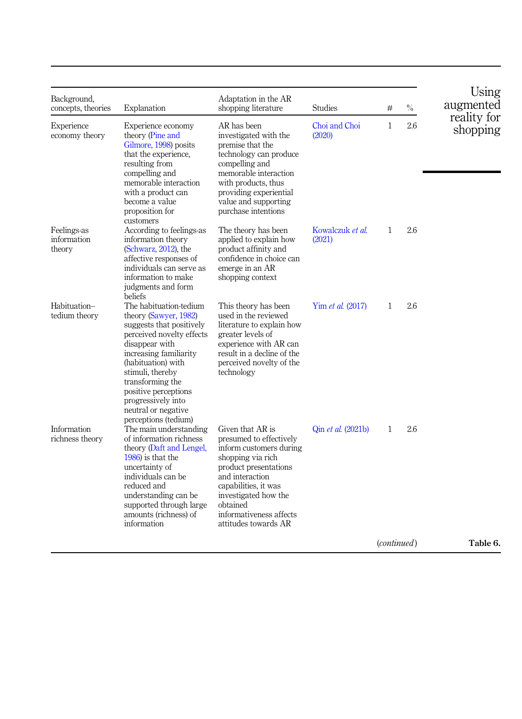| Background,<br>concepts, theories    | Explanation                                                                                                                                                                                                                                                                                                     | Adaptation in the AR<br>shopping literature                                                                                                                                                                                                            | <b>Studies</b>             | #                    | $\%$ | Using<br>augmented      |
|--------------------------------------|-----------------------------------------------------------------------------------------------------------------------------------------------------------------------------------------------------------------------------------------------------------------------------------------------------------------|--------------------------------------------------------------------------------------------------------------------------------------------------------------------------------------------------------------------------------------------------------|----------------------------|----------------------|------|-------------------------|
| Experience<br>economy theory         | Experience economy<br>theory (Pine and<br>Gilmore, 1998) posits<br>that the experience.<br>resulting from<br>compelling and<br>memorable interaction<br>with a product can<br>become a value<br>proposition for<br>customers                                                                                    | AR has been<br>investigated with the<br>premise that the<br>technology can produce<br>compelling and<br>memorable interaction<br>with products, thus<br>providing experiential<br>value and supporting<br>purchase intentions                          | Choi and Choi<br>(2020)    | $\mathbf{1}$         | 2.6  | reality for<br>shopping |
| Feelings-as<br>information<br>theory | According to feelings-as<br>information theory<br>(Schwarz, 2012), the<br>affective responses of<br>individuals can serve as<br>information to make<br>judgments and form<br>beliefs                                                                                                                            | The theory has been<br>applied to explain how<br>product affinity and<br>confidence in choice can<br>emerge in an AR<br>shopping context                                                                                                               | Kowalczuk et al.<br>(2021) | $\mathbf{1}$         | 2.6  |                         |
| Habituation-<br>tedium theory        | The habituation-tedium<br>theory (Sawyer, 1982)<br>suggests that positively<br>perceived novelty effects<br>disappear with<br>increasing familiarity<br>(habituation) with<br>stimuli, thereby<br>transforming the<br>positive perceptions<br>progressively into<br>neutral or negative<br>perceptions (tedium) | This theory has been<br>used in the reviewed<br>literature to explain how<br>greater levels of<br>experience with AR can<br>result in a decline of the<br>perceived novelty of the<br>technology                                                       | Yim <i>et al.</i> (2017)   | 1                    | 2.6  |                         |
| Information<br>richness theory       | The main understanding<br>of information richness<br>theory (Daft and Lengel,<br>$1986$ ) is that the<br>uncertainty of<br>individuals can be<br>reduced and<br>understanding can be<br>supported through large<br>amounts (richness) of<br>information                                                         | Given that AR is<br>presumed to effectively<br>inform customers during<br>shopping via rich<br>product presentations<br>and interaction<br>capabilities, it was<br>investigated how the<br>obtained<br>informativeness affects<br>attitudes towards AR | Qin et al. (2021b)         | $\mathbf{1}$         | 2.6  |                         |
|                                      |                                                                                                                                                                                                                                                                                                                 |                                                                                                                                                                                                                                                        |                            | ( <i>continued</i> ) |      | Table 6.                |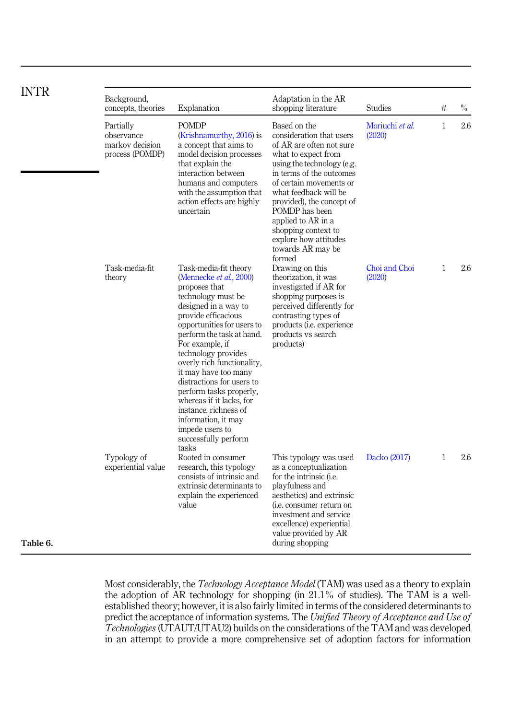| <b>INTR</b> | Background,                                                   |                                                                                                                                                                                                                                                                                                                                                                                                                                                                                           | Adaptation in the AR                                                                                                                                                                                                                                                                                                                                          |                           |              |      |
|-------------|---------------------------------------------------------------|-------------------------------------------------------------------------------------------------------------------------------------------------------------------------------------------------------------------------------------------------------------------------------------------------------------------------------------------------------------------------------------------------------------------------------------------------------------------------------------------|---------------------------------------------------------------------------------------------------------------------------------------------------------------------------------------------------------------------------------------------------------------------------------------------------------------------------------------------------------------|---------------------------|--------------|------|
|             | concepts, theories                                            | Explanation                                                                                                                                                                                                                                                                                                                                                                                                                                                                               | shopping literature                                                                                                                                                                                                                                                                                                                                           | <b>Studies</b>            | #            | $\%$ |
|             | Partially<br>observance<br>markov decision<br>process (POMDP) | <b>POMDP</b><br>(Krishnamurthy, 2016) is<br>a concept that aims to<br>model decision processes<br>that explain the<br>interaction between<br>humans and computers<br>with the assumption that<br>action effects are highly<br>uncertain                                                                                                                                                                                                                                                   | Based on the<br>consideration that users<br>of AR are often not sure<br>what to expect from<br>using the technology (e.g.<br>in terms of the outcomes<br>of certain movements or<br>what feedback will be<br>provided), the concept of<br>POMDP has been<br>applied to AR in a<br>shopping context to<br>explore how attitudes<br>towards AR may be<br>formed | Moriuchi et al.<br>(2020) | $\mathbf{1}$ | 2.6  |
|             | Task-media-fit<br>theory                                      | Task-media-fit theory<br>(Mennecke et al., 2000)<br>proposes that<br>technology must be<br>designed in a way to<br>provide efficacious<br>opportunities for users to<br>perform the task at hand.<br>For example, if<br>technology provides<br>overly rich functionality,<br>it may have too many<br>distractions for users to<br>perform tasks properly,<br>whereas if it lacks, for<br>instance, richness of<br>information, it may<br>impede users to<br>successfully perform<br>tasks | Drawing on this<br>theorization, it was<br>investigated if AR for<br>shopping purposes is<br>perceived differently for<br>contrasting types of<br>products (i.e. experience<br>products vs search<br>products)                                                                                                                                                | Choi and Choi<br>(2020)   | $\mathbf{1}$ | 2.6  |
| Table 6.    | Typology of<br>experiential value                             | Rooted in consumer<br>research, this typology<br>consists of intrinsic and<br>extrinsic determinants to<br>explain the experienced<br>value                                                                                                                                                                                                                                                                                                                                               | This typology was used<br>as a conceptualization<br>for the intrinsic (i.e.<br>playfulness and<br>aesthetics) and extrinsic<br>( <i>i.e.</i> consumer return on<br>investment and service<br>excellence) experiential<br>value provided by AR<br>during shopping                                                                                              | Dacko (2017)              | $\mathbf{1}$ | 2.6  |

Most considerably, the Technology Acceptance Model (TAM) was used as a theory to explain the adoption of AR technology for shopping (in 21.1% of studies). The TAM is a wellestablished theory; however, it is also fairly limited in terms of the considered determinants to predict the acceptance of information systems. The Unified Theory of Acceptance and Use of Technologies (UTAUT/UTAU2) builds on the considerations of the TAM and was developed in an attempt to provide a more comprehensive set of adoption factors for information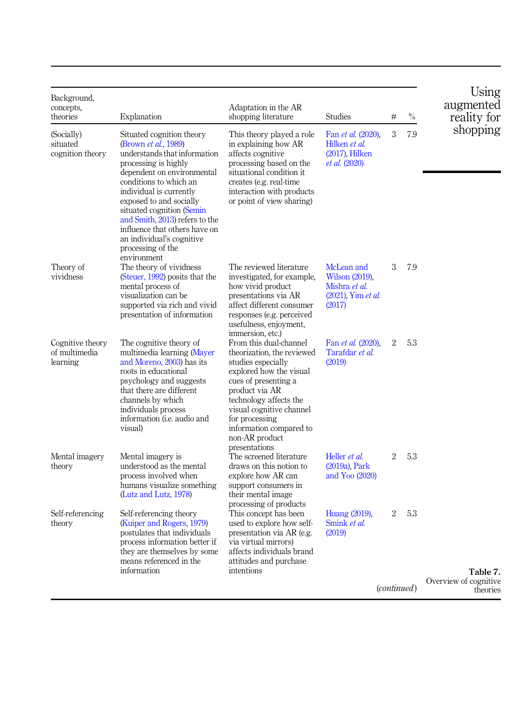<span id="page-14-0"></span>

| Background,<br>concepts,<br>theories          | Explanation                                                                                                                                                                                                                                                                                                                                                                                      | Adaptation in the AR<br>shopping literature                                                                                                                                                                                                                                           | <b>Studies</b>                                                                          | #              | $\%$        | Using<br>augmented<br>reality for             |
|-----------------------------------------------|--------------------------------------------------------------------------------------------------------------------------------------------------------------------------------------------------------------------------------------------------------------------------------------------------------------------------------------------------------------------------------------------------|---------------------------------------------------------------------------------------------------------------------------------------------------------------------------------------------------------------------------------------------------------------------------------------|-----------------------------------------------------------------------------------------|----------------|-------------|-----------------------------------------------|
| (Socially)<br>situated<br>cognition theory    | Situated cognition theory<br>(Brown <i>et al.</i> , 1989)<br>understands that information<br>processing is highly<br>dependent on environmental<br>conditions to which an<br>individual is currently<br>exposed to and socially<br>situated cognition (Semin<br>and Smith, 2013) refers to the<br>influence that others have on<br>an individual's cognitive<br>processing of the<br>environment | This theory played a role<br>in explaining how AR<br>affects cognitive<br>processing based on the<br>situational condition it<br>creates (e.g. real-time)<br>interaction with products<br>or point of view sharing)                                                                   | Fan <i>et al.</i> (2020),<br>Hilken et al.<br>$(2017)$ , Hilken<br><i>et al.</i> (2020) | 3              | 7.9         | shopping                                      |
| Theory of<br>vividness                        | The theory of vividness<br>(Steuer, 1992) posits that the<br>mental process of<br>visualization can be<br>supported via rich and vivid<br>presentation of information                                                                                                                                                                                                                            | The reviewed literature<br>investigated, for example,<br>how vivid product<br>presentations via AR<br>affect different consumer<br>responses (e.g. perceived<br>usefulness, enjoyment,<br>immersion, etc.)                                                                            | McLean and<br>Wilson (2019).<br>Mishra et al.<br>$(2021)$ . Yim <i>et al.</i><br>(2017) | 3              | 7.9         |                                               |
| Cognitive theory<br>of multimedia<br>learning | The cognitive theory of<br>multimedia learning (Mayer<br>and Moreno, 2003) has its<br>roots in educational<br>psychology and suggests<br>that there are different<br>channels by which<br>individuals process<br>information ( <i>i.e.</i> audio and<br>visual)                                                                                                                                  | From this dual-channel<br>theorization, the reviewed<br>studies especially<br>explored how the visual<br>cues of presenting a<br>product via AR<br>technology affects the<br>visual cognitive channel<br>for processing<br>information compared to<br>non-AR product<br>presentations | Fan et al. (2020).<br>Tarafdar et al.<br>(2019)                                         | $\mathfrak{D}$ | 5.3         |                                               |
| Mental imagery<br>theory                      | Mental imagery is<br>understood as the mental<br>process involved when<br>humans visualize something<br>(Lutz and Lutz, 1978)                                                                                                                                                                                                                                                                    | The screened literature<br>draws on this notion to<br>explore how AR can<br>support consumers in<br>their mental image<br>processing of products                                                                                                                                      | Heller <i>et al.</i><br>(2019a), Park<br>and Yoo (2020)                                 | $\overline{2}$ | 5.3         |                                               |
| Self-referencing<br>theory                    | Self-referencing theory<br>(Kuiper and Rogers, 1979)<br>postulates that individuals<br>process information better if<br>they are themselves by some<br>means referenced in the<br>information                                                                                                                                                                                                    | This concept has been<br>used to explore how self-<br>presentation via AR (e.g.<br>via virtual mirrors)<br>affects individuals brand<br>attitudes and purchase<br>intentions                                                                                                          | Huang (2019).<br>Smink et al.<br>(2019)                                                 | 2              | 5.3         |                                               |
|                                               |                                                                                                                                                                                                                                                                                                                                                                                                  |                                                                                                                                                                                                                                                                                       |                                                                                         |                | (continued) | Table 7.<br>Overview of cognitive<br>theories |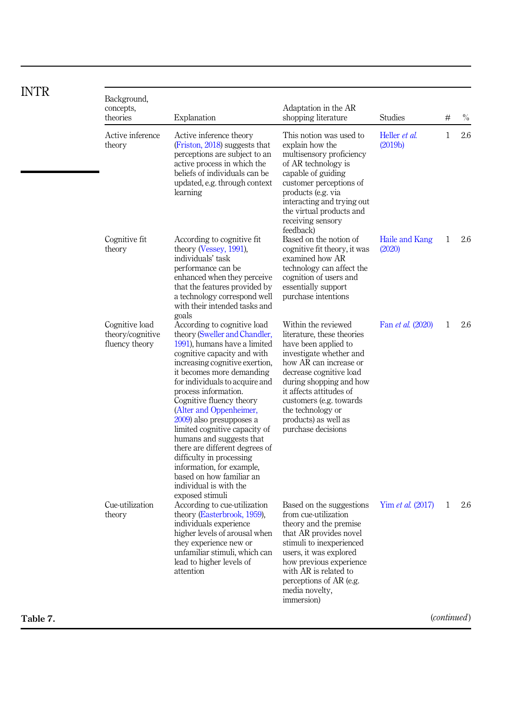| <b>INTR</b> |                                                      |                                                                                                                                                                                                                                                                                                                                                                                                                                                                                                                                                                          |                                                                                                                                                                                                                                                                                                                |                                       |              |      |
|-------------|------------------------------------------------------|--------------------------------------------------------------------------------------------------------------------------------------------------------------------------------------------------------------------------------------------------------------------------------------------------------------------------------------------------------------------------------------------------------------------------------------------------------------------------------------------------------------------------------------------------------------------------|----------------------------------------------------------------------------------------------------------------------------------------------------------------------------------------------------------------------------------------------------------------------------------------------------------------|---------------------------------------|--------------|------|
|             | Background,<br>concepts,<br>theories                 | Explanation                                                                                                                                                                                                                                                                                                                                                                                                                                                                                                                                                              | Adaptation in the AR<br>shopping literature                                                                                                                                                                                                                                                                    | <b>Studies</b>                        | #            | $\%$ |
|             | Active inference<br>theory                           | Active inference theory<br>(Friston, 2018) suggests that<br>perceptions are subject to an<br>active process in which the<br>beliefs of individuals can be<br>updated, e.g. through context<br>learning                                                                                                                                                                                                                                                                                                                                                                   | This notion was used to<br>explain how the<br>multisensory proficiency<br>of AR technology is<br>capable of guiding<br>customer perceptions of<br>products (e.g. via<br>interacting and trying out<br>the virtual products and<br>receiving sensory<br>feedback)                                               | Heller et al.<br>(2019 <sub>b</sub> ) | $\mathbf{1}$ | 2.6  |
|             | Cognitive fit<br>theory                              | According to cognitive fit.<br>theory (Vessey, 1991),<br>individuals' task<br>performance can be<br>enhanced when they perceive<br>that the features provided by<br>a technology correspond well<br>with their intended tasks and<br>goals                                                                                                                                                                                                                                                                                                                               | Based on the notion of<br>cognitive fit theory, it was<br>examined how AR<br>technology can affect the<br>cognition of users and<br>essentially support<br>purchase intentions                                                                                                                                 | Haile and Kang<br>(2020)              | $\mathbf{1}$ | 2.6  |
|             | Cognitive load<br>theory/cognitive<br>fluency theory | According to cognitive load<br>theory (Sweller and Chandler,<br>1991), humans have a limited<br>cognitive capacity and with<br>increasing cognitive exertion,<br>it becomes more demanding<br>for individuals to acquire and<br>process information.<br>Cognitive fluency theory<br>(Alter and Oppenheimer,<br>2009) also presupposes a<br>limited cognitive capacity of<br>humans and suggests that<br>there are different degrees of<br>difficulty in processing<br>information, for example,<br>based on how familiar an<br>individual is with the<br>exposed stimuli | Within the reviewed<br>literature, these theories<br>have been applied to<br>investigate whether and<br>how AR can increase or<br>decrease cognitive load<br>during shopping and how<br>it affects attitudes of<br>customers (e.g. towards)<br>the technology or<br>products) as well as<br>purchase decisions | Fan <i>et al.</i> (2020)              | $\mathbf{1}$ | 2.6  |
|             | Cue-utilization<br>theory                            | According to cue-utilization<br>theory (Easterbrook, 1959),<br>individuals experience<br>higher levels of arousal when<br>they experience new or<br>unfamiliar stimuli, which can<br>lead to higher levels of<br>attention                                                                                                                                                                                                                                                                                                                                               | Based on the suggestions<br>from cue-utilization<br>theory and the premise<br>that AR provides novel<br>stimuli to inexperienced<br>users, it was explored<br>how previous experience<br>with AR is related to<br>perceptions of AR (e.g.<br>media novelty,<br>immersion)                                      | Yim et al. (2017)                     | $\mathbf{1}$ | 2.6  |
| Table 7.    |                                                      |                                                                                                                                                                                                                                                                                                                                                                                                                                                                                                                                                                          |                                                                                                                                                                                                                                                                                                                |                                       | (continued)  |      |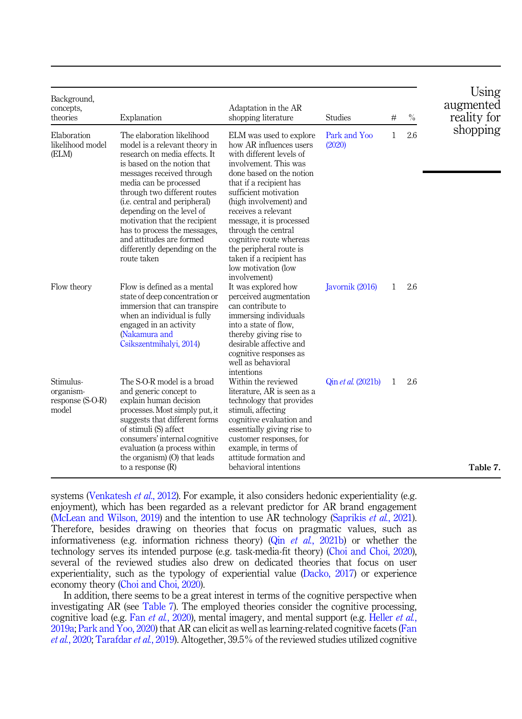| Background,<br>concepts,<br>theories                | Explanation                                                                                                                                                                                                                                                                                                                                                                                                                          | Adaptation in the AR<br>shopping literature                                                                                                                                                                                                                                                                                                                                                                          | <b>Studies</b>            | #            | $\%$ | Using<br>augmented<br>reality for |
|-----------------------------------------------------|--------------------------------------------------------------------------------------------------------------------------------------------------------------------------------------------------------------------------------------------------------------------------------------------------------------------------------------------------------------------------------------------------------------------------------------|----------------------------------------------------------------------------------------------------------------------------------------------------------------------------------------------------------------------------------------------------------------------------------------------------------------------------------------------------------------------------------------------------------------------|---------------------------|--------------|------|-----------------------------------|
| Elaboration<br>likelihood model<br>(ELM)            | The elaboration likelihood<br>model is a relevant theory in<br>research on media effects. It<br>is based on the notion that<br>messages received through<br>media can be processed<br>through two different routes<br>( <i>i.e.</i> central and peripheral)<br>depending on the level of<br>motivation that the recipient<br>has to process the messages.<br>and attitudes are formed<br>differently depending on the<br>route taken | ELM was used to explore<br>how AR influences users<br>with different levels of<br>involvement. This was<br>done based on the notion<br>that if a recipient has<br>sufficient motivation<br>(high involvement) and<br>receives a relevant<br>message, it is processed<br>through the central<br>cognitive route whereas<br>the peripheral route is<br>taken if a recipient has<br>low motivation (low<br>involvement) | Park and Yoo<br>(2020)    | $\mathbf{1}$ | 2.6  | shopping                          |
| Flow theory                                         | Flow is defined as a mental<br>state of deep concentration or<br>immersion that can transpire<br>when an individual is fully<br>engaged in an activity<br>(Nakamura and<br>Csikszentmihalyi, 2014)                                                                                                                                                                                                                                   | It was explored how<br>perceived augmentation<br>can contribute to<br>immersing individuals<br>into a state of flow,<br>thereby giving rise to<br>desirable affective and<br>cognitive responses as<br>well as behavioral                                                                                                                                                                                            | Javornik (2016)           | $\mathbf{1}$ | 2.6  |                                   |
| Stimulus-<br>organism-<br>response (S-O-R)<br>model | The S-O-R model is a broad<br>and generic concept to<br>explain human decision<br>processes. Most simply put, it<br>suggests that different forms<br>of stimuli (S) affect<br>consumers' internal cognitive<br>evaluation (a process within<br>the organism) $(0)$ that leads<br>to a response $(R)$                                                                                                                                 | intentions<br>Within the reviewed<br>literature, AR is seen as a<br>technology that provides<br>stimuli, affecting<br>cognitive evaluation and<br>essentially giving rise to<br>customer responses, for<br>example, in terms of<br>attitude formation and<br>behavioral intentions                                                                                                                                   | Qin <i>et al.</i> (2021b) | 1            | 2.6  | Table 7.                          |

systems [\(Venkatesh](#page-36-0) *et al.*, 2012). For example, it also considers hedonic experientiality (e.g. enjoyment), which has been regarded as a relevant predictor for AR brand engagement ([McLean and Wilson, 2019\)](#page-34-0) and the intention to use AR technology ([Saprikis](#page-35-0) et al., 2021). Therefore, besides drawing on theories that focus on pragmatic values, such as informativeness (e.g. information richness theory) (Qin *et al.*[, 2021b](#page-35-0)) or whether the technology serves its intended purpose (e.g. task-media-fit theory) [\(Choi and Choi, 2020\)](#page-32-0), several of the reviewed studies also drew on dedicated theories that focus on user experientiality, such as the typology of experiential value ([Dacko, 2017\)](#page-32-0) or experience economy theory ([Choi and Choi, 2020\)](#page-32-0).

In addition, there seems to be a great interest in terms of the cognitive perspective when investigating AR (see [Table 7](#page-14-0)). The employed theories consider the cognitive processing, cognitive load (e.g. Fan et al.[, 2020\)](#page-32-0), mental imagery, and mental support (e.g. [Heller](#page-32-0) et al., [2019a](#page-32-0); [Park and Yoo, 2020\)](#page-34-0) that AR can elicit as well as learning-related cognitive facets [\(Fan](#page-32-0) et al.[, 2020;](#page-32-0) [Tarafdar](#page-36-0) et al., 2019). Altogether, 39.5% of the reviewed studies utilized cognitive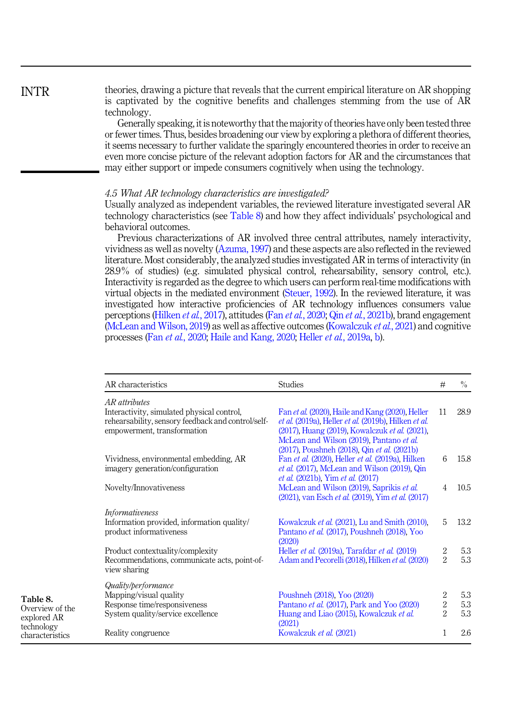theories, drawing a picture that reveals that the current empirical literature on AR shopping is captivated by the cognitive benefits and challenges stemming from the use of AR technology.

Generally speaking, it is noteworthy that the majority of theories have only been tested three or fewer times. Thus, besides broadening our view by exploring a plethora of different theories, it seems necessary to further validate the sparingly encountered theories in order to receive an even more concise picture of the relevant adoption factors for AR and the circumstances that may either support or impede consumers cognitively when using the technology.

#### 4.5 What AR technology characteristics are investigated?

Usually analyzed as independent variables, the reviewed literature investigated several AR technology characteristics (see Table 8) and how they affect individuals' psychological and behavioral outcomes.

Previous characterizations of AR involved three central attributes, namely interactivity, vividness as well as novelty [\(Azuma, 1997](#page-31-0)) and these aspects are also reflected in the reviewed literature. Most considerably, the analyzed studies investigated AR in terms of interactivity (in 28.9% of studies) (e.g. simulated physical control, rehearsability, sensory control, etc.). Interactivity is regarded as the degree to which users can perform real-time modifications with virtual objects in the mediated environment [\(Steuer, 1992](#page-36-0)). In the reviewed literature, it was investigated how interactive proficiencies of AR technology influences consumers value perceptions [\(Hilken](#page-33-0) et al., 2017), attitudes (Fan et al.[, 2020;](#page-32-0) Qin et al.[, 2021b](#page-35-0)), brand engagement [\(McLean and Wilson, 2019](#page-34-0)) as well as affective outcomes ([Kowalczuk](#page-33-0) *et al.*, 2021) and cognitive processes (Fan et al.[, 2020;](#page-32-0) [Haile and Kang, 2020;](#page-32-0) Heller et al.[, 2019a](#page-32-0), [b](#page-33-0)).

| AR characteristics                                                                                                                               | <b>Studies</b>                                                                                                                                                                                         | #                                                    | $\%$              |
|--------------------------------------------------------------------------------------------------------------------------------------------------|--------------------------------------------------------------------------------------------------------------------------------------------------------------------------------------------------------|------------------------------------------------------|-------------------|
| AR attributes<br>Interactivity, simulated physical control,<br>rehearsability, sensory feedback and control/self-<br>empowerment, transformation | Fan et al. (2020), Haile and Kang (2020), Heller<br>et al. (2019a), Heller et al. (2019b), Hilken et al.<br>(2017), Huang (2019), Kowalczuk et al. (2021),<br>McLean and Wilson (2019), Pantano et al. | 11                                                   | 28.9              |
| Vividness, environmental embedding, AR<br>imagery generation/configuration                                                                       | (2017), Poushneh (2018), Qin et al. (2021b)<br>Fan et al. (2020), Heller et al. (2019a), Hilken<br>et al. (2017), McLean and Wilson (2019), Qin<br><i>et al.</i> (2021b), Yim <i>et al.</i> (2017)     | 6                                                    | 15.8              |
| Novelty/Innovativeness                                                                                                                           | McLean and Wilson (2019), Saprikis et al.<br>(2021), van Esch et al. (2019), Yim et al. (2017)                                                                                                         | 4                                                    | 10.5              |
| <i>Informativeness</i><br>Information provided, information quality/<br>product informativeness                                                  | Kowalczuk et al. (2021), Lu and Smith (2010),<br>Pantano et al. (2017). Poushneh (2018), Yoo<br>(2020)                                                                                                 | 5                                                    | 13.2              |
| Product contextuality/complexity<br>Recommendations, communicate acts, point-of-<br>view sharing                                                 | Heller et al. (2019a), Tarafdar et al. (2019)<br>Adam and Pecorelli (2018), Hilken et al. (2020)                                                                                                       | 2<br>$\overline{2}$                                  | 5.3<br>5.3        |
| Quality/performance<br>Mapping/visual quality<br>Response time/responsiveness<br>System quality/service excellence                               | Poushneh (2018), Yoo (2020)<br>Pantano et al. (2017), Park and Yoo (2020)<br>Huang and Liao (2015), Kowalczuk et al.<br>(2021)                                                                         | $\overline{2}$<br>$\boldsymbol{2}$<br>$\overline{2}$ | 5.3<br>5.3<br>5.3 |
| Reality congruence                                                                                                                               | Kowalczuk et al. (2021)                                                                                                                                                                                | 1                                                    | 2.6               |

<span id="page-17-0"></span>INTR

Table 8. Overview of the explored AR technology characteristics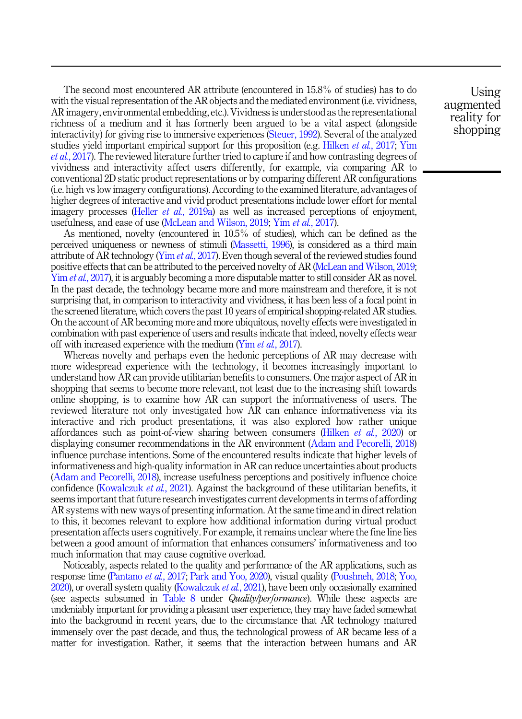The second most encountered AR attribute (encountered in 15.8% of studies) has to do with the visual representation of the AR objects and the mediated environment (i.e. vividness, AR imagery, environmental embedding, etc.). Vividness is understood as the representational richness of a medium and it has formerly been argued to be a vital aspect (alongside interactivity) for giving rise to immersive experiences [\(Steuer, 1992](#page-36-0)). Several of the analyzed studies yield important empirical support for this proposition (e.g. [Hilken](#page-33-0) *et al.*, 2017; [Yim](#page-37-0) et al.[, 2017](#page-37-0)). The reviewed literature further tried to capture if and how contrasting degrees of vividness and interactivity affect users differently, for example, via comparing AR to conventional 2D static product representations or by comparing different AR configurations (i.e. high vs low imagery configurations). According to the examined literature, advantages of higher degrees of interactive and vivid product presentations include lower effort for mental imagery processes (Heller *et al.*[, 2019a\)](#page-32-0) as well as increased perceptions of enjoyment, usefulness, and ease of use [\(McLean and Wilson, 2019;](#page-34-0) Yim et al.[, 2017](#page-37-0)).

As mentioned, novelty (encountered in 10.5% of studies), which can be defined as the perceived uniqueness or newness of stimuli [\(Massetti, 1996\)](#page-34-0), is considered as a third main attribute of AR technology (Yim *et al.*[, 2017](#page-37-0)). Even though several of the reviewed studies found positive effects that can be attributed to the perceived novelty of AR [\(McLean and Wilson, 2019](#page-34-0); Yim *et al.*[, 2017\)](#page-37-0), it is arguably becoming a more disputable matter to still consider AR as novel. In the past decade, the technology became more and more mainstream and therefore, it is not surprising that, in comparison to interactivity and vividness, it has been less of a focal point in the screened literature, which covers the past 10 years of empirical shopping-related AR studies. On the account of AR becoming more and more ubiquitous, novelty effects were investigated in combination with past experience of users and results indicate that indeed, novelty effects wear off with increased experience with the medium (Yim *et al.*[, 2017](#page-37-0)).

Whereas novelty and perhaps even the hedonic perceptions of AR may decrease with more widespread experience with the technology, it becomes increasingly important to understand how AR can provide utilitarian benefits to consumers. One major aspect of AR in shopping that seems to become more relevant, not least due to the increasing shift towards online shopping, is to examine how AR can support the informativeness of users. The reviewed literature not only investigated how AR can enhance informativeness via its interactive and rich product presentations, it was also explored how rather unique affordances such as point-of-view sharing between consumers [\(Hilken](#page-33-0)  $et$  al., 2020) or displaying consumer recommendations in the AR environment ([Adam and Pecorelli, 2018\)](#page-31-0) influence purchase intentions. Some of the encountered results indicate that higher levels of informativeness and high-quality information in AR can reduce uncertainties about products ([Adam and Pecorelli, 2018\)](#page-31-0), increase usefulness perceptions and positively influence choice confidence ([Kowalczuk](#page-33-0) *et al.*, 2021). Against the background of these utilitarian benefits, it seems important that future research investigates current developments in terms of affording AR systems with new ways of presenting information. At the same time and in direct relation to this, it becomes relevant to explore how additional information during virtual product presentation affects users cognitively. For example, it remains unclear where the fine line lies between a good amount of information that enhances consumers' informativeness and too much information that may cause cognitive overload.

Noticeably, aspects related to the quality and performance of the AR applications, such as response time [\(Pantano](#page-34-0) et al., 2017; [Park and Yoo, 2020](#page-34-0)), visual quality [\(Poushneh, 2018](#page-35-0); [Yoo,](#page-37-0)  $2020$ ), or overall system quality [\(Kowalczuk](#page-33-0) *et al.*,  $2021$ ), have been only occasionally examined (see aspects subsumed in [Table 8](#page-17-0) under *Quality/performance*). While these aspects are undeniably important for providing a pleasant user experience, they may have faded somewhat into the background in recent years, due to the circumstance that AR technology matured immensely over the past decade, and thus, the technological prowess of AR became less of a matter for investigation. Rather, it seems that the interaction between humans and AR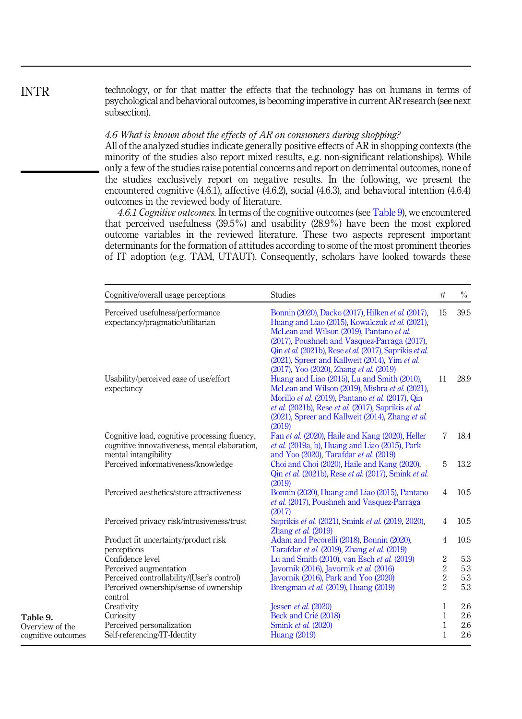technology, or for that matter the effects that the technology has on humans in terms of psychological and behavioral outcomes, is becoming imperative in current AR research (see next subsection).

#### 4.6 What is known about the effects of AR on consumers during shopping?

All of the analyzed studies indicate generally positive effects of AR in shopping contexts (the minority of the studies also report mixed results, e.g. non-significant relationships). While only a few of the studies raise potential concerns and report on detrimental outcomes, none of the studies exclusively report on negative results. In the following, we present the encountered cognitive (4.6.1), affective (4.6.2), social (4.6.3), and behavioral intention (4.6.4) outcomes in the reviewed body of literature.

4.6.1 Cognitive outcomes. In terms of the cognitive outcomes (see Table 9), we encountered that perceived usefulness (39.5%) and usability (28.9%) have been the most explored outcome variables in the reviewed literature. These two aspects represent important determinants for the formation of attitudes according to some of the most prominent theories of IT adoption (e.g. TAM, UTAUT). Consequently, scholars have looked towards these

| Cognitive/overall usage perceptions                                                                                    | <b>Studies</b>                                                                                                                                                                                                                                                                                                                                            | #              | $\%$ |
|------------------------------------------------------------------------------------------------------------------------|-----------------------------------------------------------------------------------------------------------------------------------------------------------------------------------------------------------------------------------------------------------------------------------------------------------------------------------------------------------|----------------|------|
| Perceived usefulness/performance<br>expectancy/pragmatic/utilitarian                                                   | Bonnin (2020), Dacko (2017), Hilken et al. (2017),<br>Huang and Liao (2015), Kowalczuk et al. (2021),<br>McLean and Wilson (2019), Pantano et al.<br>(2017), Poushneh and Vasquez-Parraga (2017),<br>Qin et al. (2021b), Rese et al. (2017). Saprikis et al.<br>(2021), Spreer and Kallweit (2014), Yim et al.<br>(2017), Yoo (2020), Zhang et al. (2019) | 15             | 39.5 |
| Usability/perceived ease of use/effort<br>expectancy                                                                   | Huang and Liao (2015). Lu and Smith (2010).<br>McLean and Wilson (2019), Mishra et al. (2021),<br>Morillo et al. (2019), Pantano et al. (2017), Qin<br>et al. (2021b), Rese et al. (2017), Saprikis et al.<br>(2021), Spreer and Kallweit (2014), Zhang et al.<br>(2019)                                                                                  | 11             | 28.9 |
| Cognitive load, cognitive processing fluency,<br>cognitive innovativeness, mental elaboration,<br>mental intangibility | Fan et al. (2020), Haile and Kang (2020), Heller<br>$et$ al. (2019a, b). Huang and Liao (2015). Park<br>and Yoo (2020), Tarafdar et al. (2019)                                                                                                                                                                                                            | 7              | 18.4 |
| Perceived informativeness/knowledge                                                                                    | Choi and Choi (2020), Haile and Kang (2020),<br>Qin et al. (2021b), Rese et al. (2017), Smink et al.<br>(2019)                                                                                                                                                                                                                                            | 5              | 13.2 |
| Perceived aesthetics/store attractiveness                                                                              | Bonnin (2020), Huang and Liao (2015), Pantano<br>et al. (2017). Poushneh and Vasquez-Parraga<br>(2017)                                                                                                                                                                                                                                                    | $\overline{4}$ | 10.5 |
| Perceived privacy risk/intrusiveness/trust                                                                             | Saprikis et al. (2021), Smink et al. (2019, 2020),<br>Zhang et al. (2019)                                                                                                                                                                                                                                                                                 | $\overline{4}$ | 10.5 |
| Product fit uncertainty/product risk<br>perceptions                                                                    | Adam and Pecorelli (2018), Bonnin (2020),<br>Tarafdar et al. (2019), Zhang et al. (2019)                                                                                                                                                                                                                                                                  | $\overline{4}$ | 10.5 |
| Confidence level                                                                                                       | Lu and Smith (2010), van Esch et al. (2019)                                                                                                                                                                                                                                                                                                               | $\overline{2}$ | 5.3  |
| Perceived augmentation                                                                                                 | Javornik (2016), Javornik et al. (2016)                                                                                                                                                                                                                                                                                                                   | $\overline{2}$ | 5.3  |
| Perceived controllability/(User's control)                                                                             | Javornik (2016), Park and Yoo (2020)                                                                                                                                                                                                                                                                                                                      | $\overline{2}$ | 5.3  |
| Perceived ownership/sense of ownership<br>control                                                                      | Brengman <i>et al.</i> (2019), Huang (2019)                                                                                                                                                                                                                                                                                                               | $\overline{2}$ | 5.3  |
| Creativity                                                                                                             | Jessen et al. $(2020)$                                                                                                                                                                                                                                                                                                                                    | $\mathbf{1}$   | 2.6  |
| Curiosity                                                                                                              | Beck and Crié (2018)                                                                                                                                                                                                                                                                                                                                      | $\mathbf{1}$   | 2.6  |
| Perceived personalization                                                                                              | Smink et al. (2020)                                                                                                                                                                                                                                                                                                                                       | $\mathbf{1}$   | 2.6  |
| Self-referencing/IT-Identity                                                                                           | <b>Huang (2019)</b>                                                                                                                                                                                                                                                                                                                                       | 1              | 2.6  |

INTR

Table 9. Overview of the cognitive outcomes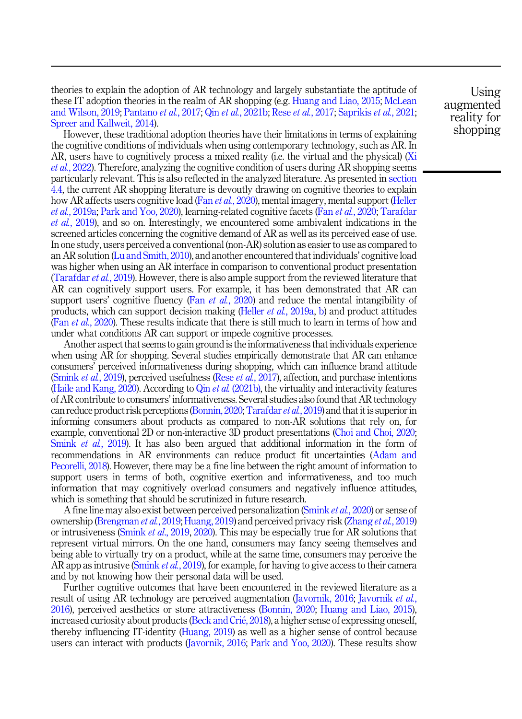theories to explain the adoption of AR technology and largely substantiate the aptitude of these IT adoption theories in the realm of AR shopping (e.g. [Huang and Liao, 2015](#page-33-0); [McLean](#page-34-0) [and Wilson, 2019](#page-34-0); [Pantano](#page-34-0) et al., 2017; Qin et al.[, 2021b](#page-35-0); Rese et al.[, 2017;](#page-35-0) [Saprikis](#page-35-0) et al., 2021; [Spreer and Kallweit, 2014\)](#page-36-0).

However, these traditional adoption theories have their limitations in terms of explaining the cognitive conditions of individuals when using contemporary technology, such as AR. In AR, users have to cognitively process a mixed reality (i.e. the virtual and the physical) [\(Xi](#page-37-0) et al.[, 2022](#page-37-0)). Therefore, analyzing the cognitive condition of users during AR shopping seems particularly relevant. This is also reflected in the analyzed literature. As presented in [section](#page-10-0) [4.4,](#page-10-0) the current AR shopping literature is devoutly drawing on cognitive theories to explain how AR affects users cognitive load (Fan et al.[, 2020](#page-32-0)), mental imagery, mental support ([Heller](#page-32-0) et al.[, 2019a](#page-32-0); [Park and Yoo, 2020\)](#page-34-0), learning-related cognitive facets (Fan et al.[, 2020;](#page-32-0) [Tarafdar](#page-36-0) et al.[, 2019](#page-36-0)), and so on. Interestingly, we encountered some ambivalent indications in the screened articles concerning the cognitive demand of AR as well as its perceived ease of use. In one study, users perceived a conventional (non-AR) solution as easier to use as compared to an AR solution ([Lu and Smith, 2010\)](#page-34-0), and another encountered that individuals' cognitive load was higher when using an AR interface in comparison to conventional product presentation ([Tarafdar](#page-36-0) *et al.*, 2019). However, there is also ample support from the reviewed literature that AR can cognitively support users. For example, it has been demonstrated that AR can support users' cognitive fluency (Fan et al.[, 2020](#page-32-0)) and reduce the mental intangibility of products, which can support decision making (Heller et al.[, 2019a,](#page-32-0) [b](#page-33-0)) and product attitudes (Fan et al.[, 2020\)](#page-32-0). These results indicate that there is still much to learn in terms of how and under what conditions AR can support or impede cognitive processes.

Another aspect that seems to gain ground is the informativeness that individuals experience when using AR for shopping. Several studies empirically demonstrate that AR can enhance consumers' perceived informativeness during shopping, which can influence brand attitude [\(Smink](#page-36-0) *et al.*, 2019), perceived usefulness (Rese *et al.*[, 2017\)](#page-35-0), affection, and purchase intentions (Haile and Kang,  $2020$ ). According to Qin *et al.* [\(2021b\)](#page-35-0), the virtuality and interactivity features of AR contribute to consumers' informativeness. Several studies also found that AR technology can reduce product risk perceptions ([Bonnin, 2020](#page-31-0); [Tarafdar](#page-36-0) et al., 2019) and that it is superior in informing consumers about products as compared to non-AR solutions that rely on, for example, conventional 2D or non-interactive 3D product presentations ([Choi and Choi, 2020](#page-32-0); [Smink](#page-36-0) *et al.*, 2019). It has also been argued that additional information in the form of recommendations in AR environments can reduce product fit uncertainties [\(Adam and](#page-31-0) [Pecorelli, 2018\)](#page-31-0). However, there may be a fine line between the right amount of information to support users in terms of both, cognitive exertion and informativeness, and too much information that may cognitively overload consumers and negatively influence attitudes, which is something that should be scrutinized in future research.

A fine line may also exist between perceived personalization [\(Smink](#page-36-0) et al., 2020) or sense of ownership ([Brengman](#page-31-0) et al., 2019; [Huang, 2019\)](#page-33-0) and perceived privacy risk ([Zhang](#page-37-0) et al., 2019) or intrusiveness [\(Smink](#page-36-0) *et al.*, 2019, [2020\)](#page-36-0). This may be especially true for AR solutions that represent virtual mirrors. On the one hand, consumers may fancy seeing themselves and being able to virtually try on a product, while at the same time, consumers may perceive the AR app as intrusive ([Smink](#page-36-0) *et al.*, 2019), for example, for having to give access to their camera and by not knowing how their personal data will be used.

Further cognitive outcomes that have been encountered in the reviewed literature as a result of using AR technology are perceived augmentation [\(Javornik, 2016](#page-33-0); [Javornik](#page-33-0) *et al.*, [2016\)](#page-33-0), perceived aesthetics or store attractiveness [\(Bonnin, 2020;](#page-31-0) [Huang and Liao, 2015\)](#page-33-0), increased curiosity about products [\(Beck and Cri](#page-31-0)é, 2018), a higher sense of expressing oneself, thereby influencing IT-identity ([Huang, 2019\)](#page-33-0) as well as a higher sense of control because users can interact with products ([Javornik, 2016](#page-33-0); [Park and Yoo, 2020\)](#page-34-0). These results show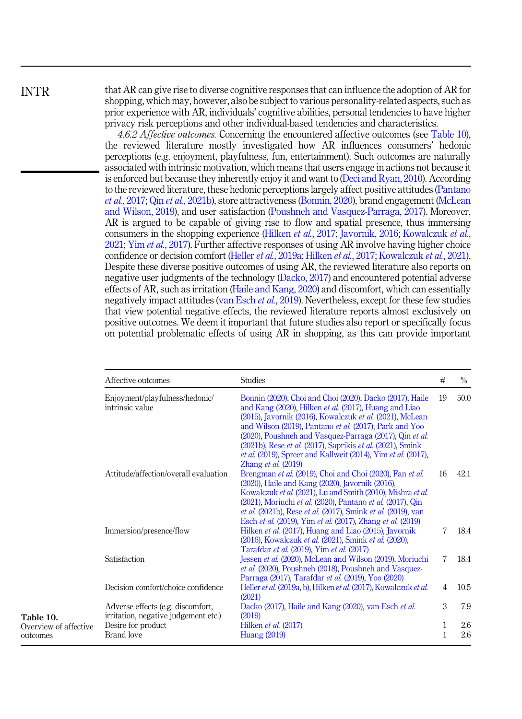INTR

that AR can give rise to diverse cognitive responses that can influence the adoption of AR for shopping, which may, however, also be subject to various personality-related aspects, such as prior experience with AR, individuals' cognitive abilities, personal tendencies to have higher privacy risk perceptions and other individual-based tendencies and characteristics.

4.6.2 Affective outcomes. Concerning the encountered affective outcomes (see Table 10). the reviewed literature mostly investigated how AR influences consumers' hedonic perceptions (e.g. enjoyment, playfulness, fun, entertainment). Such outcomes are naturally associated with intrinsic motivation, which means that users engage in actions not because it is enforced but because they inherently enjoy it and want to ([Deci and Ryan, 2010](#page-32-0)). According to the reviewed literature, these hedonic perceptions largely affect positive attitudes ([Pantano](#page-34-0) et al.[, 2017;](#page-34-0) Qin et al.[, 2021b](#page-35-0)), store attractiveness [\(Bonnin, 2020](#page-31-0)), brand engagement ([McLean](#page-34-0) [and Wilson, 2019](#page-34-0)), and user satisfaction ([Poushneh and Vasquez-Parraga, 2017](#page-35-0)). Moreover, AR is argued to be capable of giving rise to flow and spatial presence, thus immersing consumers in the shopping experience [\(Hilken](#page-33-0) et al., 2017; [Javornik, 2016](#page-33-0); [Kowalczuk](#page-33-0) et al., [2021;](#page-33-0) Yim *et al.*[, 2017\)](#page-37-0). Further affective responses of using AR involve having higher choice confidence or decision comfort (Heller et al.[, 2019a](#page-32-0); [Hilken](#page-33-0) et al., 2017; [Kowalczuk](#page-33-0) et al., 2021). Despite these diverse positive outcomes of using AR, the reviewed literature also reports on negative user judgments of the technology ([Dacko, 2017](#page-32-0)) and encountered potential adverse effects of AR, such as irritation ([Haile and Kang, 2020\)](#page-32-0) and discomfort, which can essentially negatively impact attitudes ([van Esch](#page-36-0) et al., 2019). Nevertheless, except for these few studies that view potential negative effects, the reviewed literature reports almost exclusively on positive outcomes. We deem it important that future studies also report or specifically focus on potential problematic effects of using AR in shopping, as this can provide important

|                                   | Affective outcomes                                                        | <b>Studies</b>                                                                                                                                                                                                                                                                                                                                                                                                                                                                  | #              | $\frac{0}{0}$ |
|-----------------------------------|---------------------------------------------------------------------------|---------------------------------------------------------------------------------------------------------------------------------------------------------------------------------------------------------------------------------------------------------------------------------------------------------------------------------------------------------------------------------------------------------------------------------------------------------------------------------|----------------|---------------|
|                                   | Enjoyment/playfulness/hedonic/<br>intrinsic value                         | Bonnin (2020), Choi and Choi (2020), Dacko (2017), Haile<br>and Kang (2020), Hilken et al. (2017), Huang and Liao<br>(2015), Javornik (2016), Kowalczuk et al. (2021), McLean<br>and Wilson (2019). Pantano et al. (2017). Park and Yoo<br>(2020), Poushneh and Vasquez-Parraga (2017), Qin et al.<br>(2021b), Rese et al. (2017), Saprikis et al. (2021), Smink<br><i>et al.</i> (2019), Spreer and Kallweit (2014), Yim <i>et al.</i> (2017),<br>Zhang <i>et al.</i> $(2019)$ | 19             | 50.0          |
|                                   | Attitude/affection/overall evaluation                                     | Brengman et al. (2019). Choi and Choi (2020). Fan et al.<br>$(2020)$ , Haile and Kang $(2020)$ , Javornik $(2016)$ ,<br>Kowalczuk et al. (2021), Lu and Smith (2010), Mishra et al.<br>(2021), Moriuchi et al. (2020), Pantano et al. (2017), Qin<br><i>et al.</i> (2021b), Rese <i>et al.</i> (2017), Smink <i>et al.</i> (2019), van<br>Esch et al. (2019), Yim et al. (2017), Zhang et al. (2019)                                                                            | 16             | 42.1          |
|                                   | Immersion/presence/flow                                                   | Hilken et al. (2017), Huang and Liao (2015), Javornik<br>(2016), Kowalczuk et al. (2021), Smink et al. (2020),<br>Tarafdar et al. (2019), Yim et al. (2017)                                                                                                                                                                                                                                                                                                                     | 7              | 18.4          |
|                                   | Satisfaction                                                              | Jessen et al. (2020), McLean and Wilson (2019), Moriuchi<br>et al. (2020), Poushneh (2018), Poushneh and Vasquez-<br>Parraga (2017). Tarafdar et al. (2019). Yoo (2020)                                                                                                                                                                                                                                                                                                         | 7              | 18.4          |
|                                   | Decision comfort/choice confidence                                        | Heller et al. (2019a, b), Hilken et al. (2017), Kowalczuk et al.<br>(2021)                                                                                                                                                                                                                                                                                                                                                                                                      | $\overline{4}$ | 10.5          |
| Table 10.                         | Adverse effects (e.g. discomfort,<br>irritation, negative judgement etc.) | Dacko (2017), Haile and Kang (2020), van Esch et al.<br>(2019)                                                                                                                                                                                                                                                                                                                                                                                                                  | 3              | 7.9           |
| Overview of affective<br>outcomes | Desire for product<br>Brand love                                          | Hilken et al. (2017)<br>Huang (2019)                                                                                                                                                                                                                                                                                                                                                                                                                                            | 1<br>1         | 2.6<br>2.6    |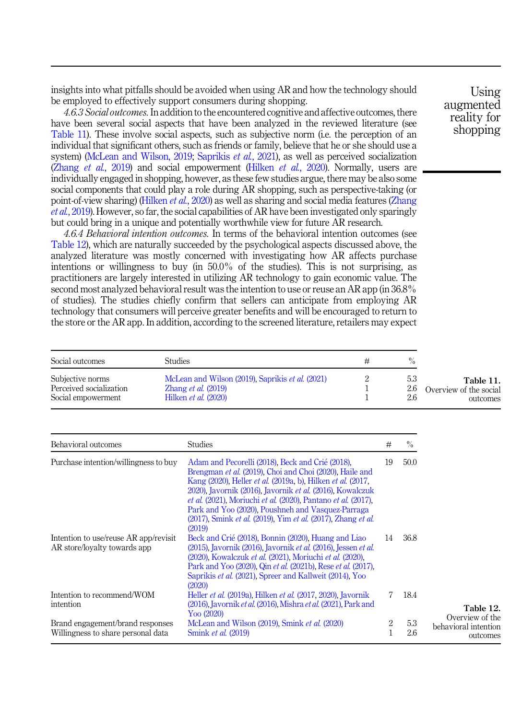<span id="page-22-0"></span>insights into what pitfalls should be avoided when using AR and how the technology should be employed to effectively support consumers during shopping.

4.6.3 Social outcomes. In addition to the encountered cognitive and affective outcomes, there have been several social aspects that have been analyzed in the reviewed literature (see Table 11). These involve social aspects, such as subjective norm (i.e. the perception of an individual that significant others, such as friends or family, believe that he or she should use a system) [\(McLean and Wilson, 2019;](#page-34-0) [Saprikis](#page-35-0) et al., 2021), as well as perceived socialization [\(Zhang](#page-37-0) et al., 2019) and social empowerment ([Hilken](#page-33-0) et al., 2020). Normally, users are individually engaged in shopping, however, as these few studies argue, there may be also some social components that could play a role during AR shopping, such as perspective-taking (or point-of-view sharing) [\(Hilken](#page-33-0) *et al.*, 2020) as well as sharing and social media features ([Zhang](#page-37-0) et al.[, 2019](#page-37-0)). However, so far, the social capabilities of AR have been investigated only sparingly but could bring in a unique and potentially worthwhile view for future AR research.

4.6.4 Behavioral intention outcomes. In terms of the behavioral intention outcomes (see Table 12), which are naturally succeeded by the psychological aspects discussed above, the analyzed literature was mostly concerned with investigating how AR affects purchase intentions or willingness to buy (in 50.0% of the studies). This is not surprising, as practitioners are largely interested in utilizing AR technology to gain economic value. The second most analyzed behavioral result was the intention to use or reuse an AR app (in 36.8% of studies). The studies chiefly confirm that sellers can anticipate from employing AR technology that consumers will perceive greater benefits and will be encouraged to return to the store or the AR app. In addition, according to the screened literature, retailers may expect

| Social outcomes         | Studies                                          |     |                        |
|-------------------------|--------------------------------------------------|-----|------------------------|
| Subjective norms        | McLean and Wilson (2019), Saprikis et al. (2021) | 5.3 | Table 11.              |
| Perceived socialization | Zhang <i>et al.</i> $(2019)$                     | 2.6 | Overview of the social |
| Social empowerment      | Hilken <i>et al.</i> (2020)                      | 2.6 | outcomes               |

| Behavioral outcomes                                                    | <b>Studies</b>                                                                                                                                                                                                                                                                                                                                                                                                                                                             | #      | $\%$       |                                                     |
|------------------------------------------------------------------------|----------------------------------------------------------------------------------------------------------------------------------------------------------------------------------------------------------------------------------------------------------------------------------------------------------------------------------------------------------------------------------------------------------------------------------------------------------------------------|--------|------------|-----------------------------------------------------|
| Purchase intention/willingness to buy                                  | Adam and Pecorelli (2018), Beck and Crié (2018),<br>Brengman et al. (2019). Choi and Choi (2020). Haile and<br>Kang (2020), Heller <i>et al.</i> (2019a, b), Hilken <i>et al.</i> (2017,<br>2020), Javornik (2016), Javornik et al. (2016), Kowalczuk<br><i>et al.</i> (2021). Moriuchi <i>et al.</i> (2020). Pantano <i>et al.</i> (2017).<br>Park and Yoo (2020), Poushneh and Vasquez-Parraga<br>(2017), Smink et al. (2019), Yim et al. (2017), Zhang et al.<br>(2019) | 19     | 50.0       |                                                     |
| Intention to use/reuse AR app/revisit<br>AR store/lovalty towards app  | Beck and Crié (2018), Bonnin (2020), Huang and Liao<br>(2015), Javornik (2016), Javornik et al. (2016), Jessen et al.<br>(2020), Kowalczuk et al. (2021), Moriuchi et al. (2020),<br>Park and Yoo (2020), Qin et al. (2021b), Rese et al. (2017),<br>Saprikis et al. (2021). Spreer and Kallweit (2014). Yoo<br>(2020)                                                                                                                                                     | 14     | 36.8       |                                                     |
| Intention to recommend/WOM<br>intention                                | Heller <i>et al.</i> (2019a). Hilken <i>et al.</i> (2017, 2020). Javornik<br>(2016), Javornik et al. (2016), Mishra et al. (2021), Park and                                                                                                                                                                                                                                                                                                                                |        | 18.4       | Table 12.                                           |
| Brand engagement/brand responses<br>Willingness to share personal data | $Y_{OO}$ (2020)<br>McLean and Wilson (2019), Smink et al. (2020)<br>Smink <i>et al.</i> (2019)                                                                                                                                                                                                                                                                                                                                                                             | 2<br>1 | 5.3<br>2.6 | Overview of the<br>behavioral intention<br>outcomes |

Using augmented reality for shopping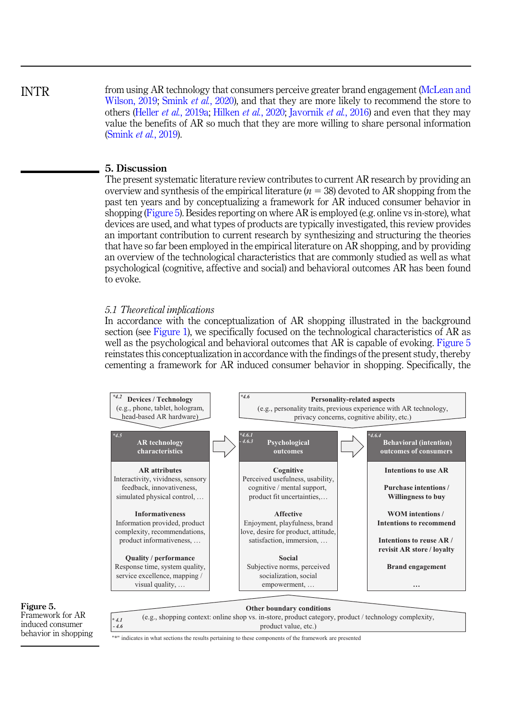<span id="page-23-0"></span>from using AR technology that consumers perceive greater brand engagement [\(McLean and](#page-34-0) [Wilson, 2019;](#page-34-0) [Smink](#page-36-0) *et al.*, 2020), and that they are more likely to recommend the store to others (Heller *et al.*[, 2019a](#page-32-0); [Hilken](#page-33-0) *et al.*, 2020; [Javornik](#page-33-0) *et al.*, 2016) and even that they may value the benefits of AR so much that they are more willing to share personal information ([Smink](#page-36-0) et al., 2019). INTR

#### 5. Discussion

The present systematic literature review contributes to current AR research by providing an overview and synthesis of the empirical literature  $(n = 38)$  devoted to AR shopping from the past ten years and by conceptualizing a framework for AR induced consumer behavior in shopping (Figure 5). Besides reporting on where AR is employed (e.g. online vs in-store), what devices are used, and what types of products are typically investigated, this review provides an important contribution to current research by synthesizing and structuring the theories that have so far been employed in the empirical literature on AR shopping, and by providing an overview of the technological characteristics that are commonly studied as well as what psychological (cognitive, affective and social) and behavioral outcomes AR has been found to evoke.

#### 5.1 Theoretical implications

In accordance with the conceptualization of AR shopping illustrated in the background section (see [Figure 1](#page-3-0)), we specifically focused on the technological characteristics of AR as well as the psychological and behavioral outcomes that AR is capable of evoking. Figure 5 reinstates this conceptualization in accordance with the findings of the present study, thereby cementing a framework for AR induced consumer behavior in shopping. Specifically, the





*\* 4.1 - 4.6*

**Other boundary conditions** (e.g., shopping context: online shop vs. in-store, product category, product / technology complexity, product value, etc.)

"\*" indicates in what sections the results pertaining to these components of the framework are presented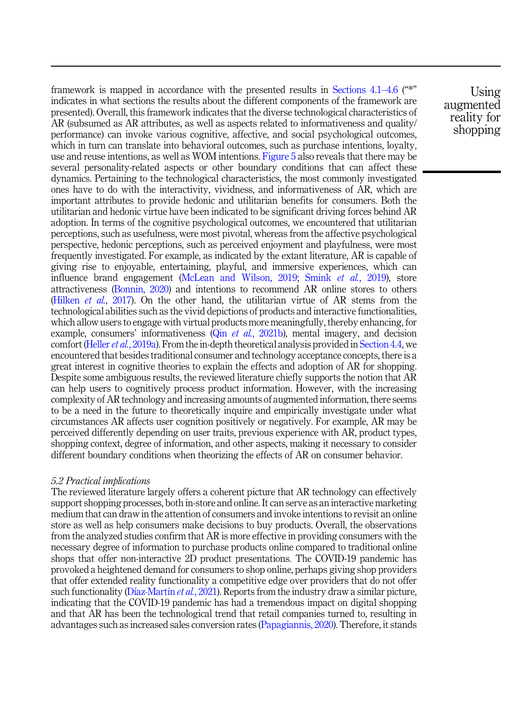<span id="page-24-0"></span>framework is mapped in accordance with the presented results in [Sections 4.1](#page-6-0)–[4.6](#page-6-0) ("\*" indicates in what sections the results about the different components of the framework are presented). Overall, this framework indicates that the diverse technological characteristics of AR (subsumed as AR attributes, as well as aspects related to informativeness and quality/ performance) can invoke various cognitive, affective, and social psychological outcomes, which in turn can translate into behavioral outcomes, such as purchase intentions, loyalty, use and reuse intentions, as well as WOM intentions. [Figure 5](#page-23-0) also reveals that there may be several personality-related aspects or other boundary conditions that can affect these dynamics. Pertaining to the technological characteristics, the most commonly investigated ones have to do with the interactivity, vividness, and informativeness of AR, which are important attributes to provide hedonic and utilitarian benefits for consumers. Both the utilitarian and hedonic virtue have been indicated to be significant driving forces behind AR adoption. In terms of the cognitive psychological outcomes, we encountered that utilitarian perceptions, such as usefulness, were most pivotal, whereas from the affective psychological perspective, hedonic perceptions, such as perceived enjoyment and playfulness, were most frequently investigated. For example, as indicated by the extant literature, AR is capable of giving rise to enjoyable, entertaining, playful, and immersive experiences, which can influence brand engagement ([McLean and Wilson, 2019;](#page-34-0) Smink et al.[, 2019](#page-36-0)), store attractiveness [\(Bonnin, 2020](#page-31-0)) and intentions to recommend AR online stores to others ([Hilken](#page-33-0) *et al.*, 2017). On the other hand, the utilitarian virtue of AR stems from the technological abilities such as the vivid depictions of products and interactive functionalities, which allow users to engage with virtual products more meaningfully, thereby enhancing, for example, consumers' informativeness (Qin *et al.*[, 2021b\)](#page-35-0), mental imagery, and decision comfort (Heller *et al.*[, 2019a\)](#page-32-0). From the in-depth theoretical analysis provided in [Section 4.4,](#page-10-0) we encountered that besides traditional consumer and technology acceptance concepts, there is a great interest in cognitive theories to explain the effects and adoption of AR for shopping. Despite some ambiguous results, the reviewed literature chiefly supports the notion that AR can help users to cognitively process product information. However, with the increasing complexity of AR technology and increasing amounts of augmented information, there seems to be a need in the future to theoretically inquire and empirically investigate under what circumstances AR affects user cognition positively or negatively. For example, AR may be perceived differently depending on user traits, previous experience with AR, product types, shopping context, degree of information, and other aspects, making it necessary to consider different boundary conditions when theorizing the effects of AR on consumer behavior.

#### 5.2 Practical implications

The reviewed literature largely offers a coherent picture that AR technology can effectively support shopping processes, both in-store and online. It can serve as an interactive marketing medium that can draw in the attention of consumers and invoke intentions to revisit an online store as well as help consumers make decisions to buy products. Overall, the observations from the analyzed studies confirm that AR is more effective in providing consumers with the necessary degree of information to purchase products online compared to traditional online shops that offer non-interactive 2D product presentations. The COVID-19 pandemic has provoked a heightened demand for consumers to shop online, perhaps giving shop providers that offer extended reality functionality a competitive edge over providers that do not offer such functionality [\(D](#page-32-0)í[az-Mart](#page-32-0)ín *et al.*[, 2021](#page-32-0)). Reports from the industry draw a similar picture, indicating that the COVID-19 pandemic has had a tremendous impact on digital shopping and that AR has been the technological trend that retail companies turned to, resulting in advantages such as increased sales conversion rates ([Papagiannis, 2020](#page-34-0)). Therefore, it stands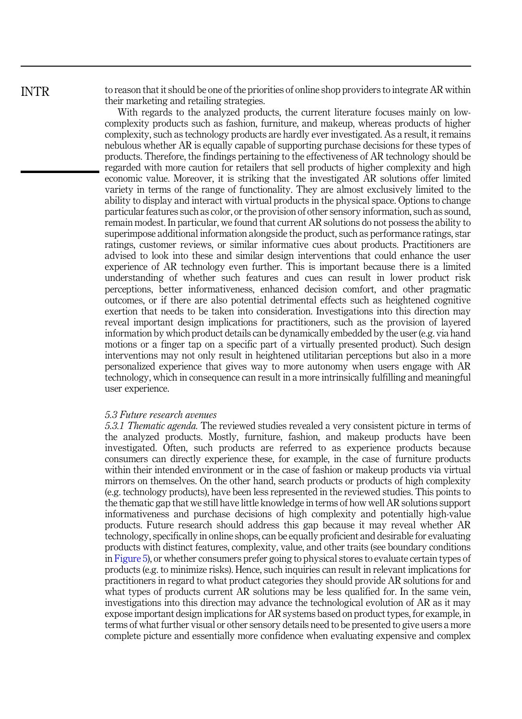<span id="page-25-0"></span>INTR

to reason that it should be one of the priorities of online shop providers to integrate AR within their marketing and retailing strategies.

With regards to the analyzed products, the current literature focuses mainly on lowcomplexity products such as fashion, furniture, and makeup, whereas products of higher complexity, such as technology products are hardly ever investigated. As a result, it remains nebulous whether AR is equally capable of supporting purchase decisions for these types of products. Therefore, the findings pertaining to the effectiveness of AR technology should be regarded with more caution for retailers that sell products of higher complexity and high economic value. Moreover, it is striking that the investigated AR solutions offer limited variety in terms of the range of functionality. They are almost exclusively limited to the ability to display and interact with virtual products in the physical space. Options to change particular features such as color, or the provision of other sensory information, such as sound, remain modest. In particular, we found that current AR solutions do not possess the ability to superimpose additional information alongside the product, such as performance ratings, star ratings, customer reviews, or similar informative cues about products. Practitioners are advised to look into these and similar design interventions that could enhance the user experience of AR technology even further. This is important because there is a limited understanding of whether such features and cues can result in lower product risk perceptions, better informativeness, enhanced decision comfort, and other pragmatic outcomes, or if there are also potential detrimental effects such as heightened cognitive exertion that needs to be taken into consideration. Investigations into this direction may reveal important design implications for practitioners, such as the provision of layered information by which product details can be dynamically embedded by the user (e.g. via hand motions or a finger tap on a specific part of a virtually presented product). Such design interventions may not only result in heightened utilitarian perceptions but also in a more personalized experience that gives way to more autonomy when users engage with AR technology, which in consequence can result in a more intrinsically fulfilling and meaningful user experience.

#### 5.3 Future research avenues

5.3.1 Thematic agenda. The reviewed studies revealed a very consistent picture in terms of the analyzed products. Mostly, furniture, fashion, and makeup products have been investigated. Often, such products are referred to as experience products because consumers can directly experience these, for example, in the case of furniture products within their intended environment or in the case of fashion or makeup products via virtual mirrors on themselves. On the other hand, search products or products of high complexity (e.g. technology products), have been less represented in the reviewed studies. This points to the thematic gap that we still have little knowledge in terms of how well AR solutions support informativeness and purchase decisions of high complexity and potentially high-value products. Future research should address this gap because it may reveal whether AR technology, specifically in online shops, can be equally proficient and desirable for evaluating products with distinct features, complexity, value, and other traits (see boundary conditions in [Figure 5](#page-23-0)), or whether consumers prefer going to physical stores to evaluate certain types of products (e.g. to minimize risks). Hence, such inquiries can result in relevant implications for practitioners in regard to what product categories they should provide AR solutions for and what types of products current AR solutions may be less qualified for. In the same vein, investigations into this direction may advance the technological evolution of AR as it may expose important design implications for AR systems based on product types, for example, in terms of what further visual or other sensory details need to be presented to give users a more complete picture and essentially more confidence when evaluating expensive and complex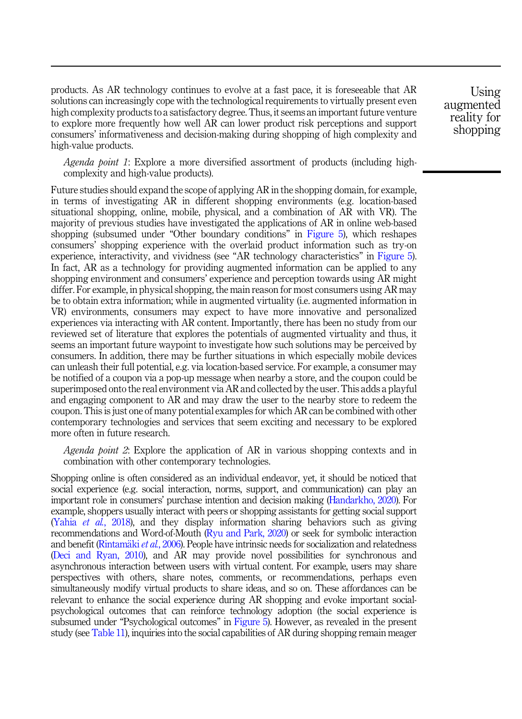products. As AR technology continues to evolve at a fast pace, it is foreseeable that AR solutions can increasingly cope with the technological requirements to virtually present even high complexity products to a satisfactory degree. Thus, it seems an important future venture to explore more frequently how well AR can lower product risk perceptions and support consumers' informativeness and decision-making during shopping of high complexity and high-value products.

Agenda point 1: Explore a more diversified assortment of products (including highcomplexity and high-value products).

Future studies should expand the scope of applying AR in the shopping domain, for example, in terms of investigating AR in different shopping environments (e.g. location-based situational shopping, online, mobile, physical, and a combination of AR with VR). The majority of previous studies have investigated the applications of AR in online web-based shopping (subsumed under "Other boundary conditions" in [Figure 5](#page-23-0)), which reshapes consumers' shopping experience with the overlaid product information such as try-on experience, interactivity, and vividness (see "AR technology characteristics" in [Figure 5\)](#page-23-0). In fact, AR as a technology for providing augmented information can be applied to any shopping environment and consumers' experience and perception towards using AR might differ. For example, in physical shopping, the main reason for most consumers using AR may be to obtain extra information; while in augmented virtuality (i.e. augmented information in VR) environments, consumers may expect to have more innovative and personalized experiences via interacting with AR content. Importantly, there has been no study from our reviewed set of literature that explores the potentials of augmented virtuality and thus, it seems an important future waypoint to investigate how such solutions may be perceived by consumers. In addition, there may be further situations in which especially mobile devices can unleash their full potential, e.g. via location-based service. For example, a consumer may be notified of a coupon via a pop-up message when nearby a store, and the coupon could be superimposed onto the real environment via AR and collected by the user. This adds a playful and engaging component to AR and may draw the user to the nearby store to redeem the coupon. This is just one of many potential examples for which AR can be combined with other contemporary technologies and services that seem exciting and necessary to be explored more often in future research.

Agenda point 2: Explore the application of AR in various shopping contexts and in combination with other contemporary technologies.

Shopping online is often considered as an individual endeavor, yet, it should be noticed that social experience (e.g. social interaction, norms, support, and communication) can play an important role in consumers' purchase intention and decision making [\(Handarkho, 2020](#page-32-0)). For example, shoppers usually interact with peers or shopping assistants for getting social support (Yahia et al.[, 2018](#page-37-0)), and they display information sharing behaviors such as giving recommendations and Word-of-Mouth [\(Ryu and Park, 2020](#page-35-0)) or seek for symbolic interaction and benefit [\(Rintam](#page-35-0)äki *et al.*[, 2006\)](#page-35-0). People have intrinsic needs for socialization and relatedness [\(Deci and Ryan, 2010](#page-32-0)), and AR may provide novel possibilities for synchronous and asynchronous interaction between users with virtual content. For example, users may share perspectives with others, share notes, comments, or recommendations, perhaps even simultaneously modify virtual products to share ideas, and so on. These affordances can be relevant to enhance the social experience during AR shopping and evoke important socialpsychological outcomes that can reinforce technology adoption (the social experience is subsumed under "Psychological outcomes" in [Figure 5\)](#page-23-0). However, as revealed in the present study (see [Table 11](#page-22-0)), inquiries into the social capabilities of AR during shopping remain meager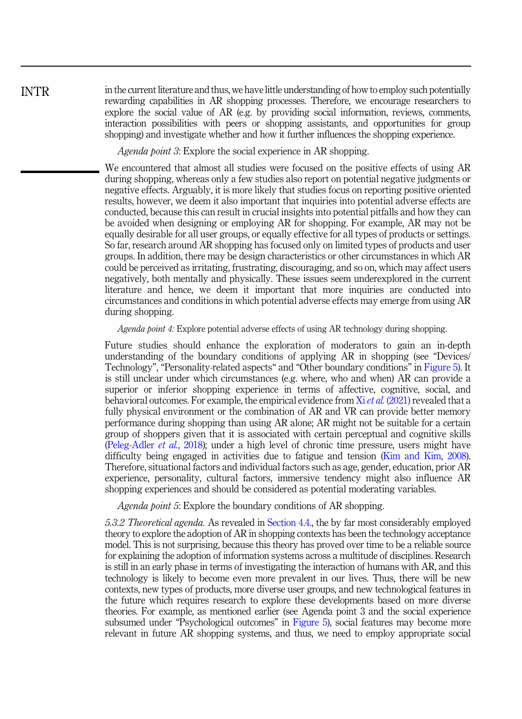in the current literature and thus, we have little understanding of how to employ such potentially rewarding capabilities in AR shopping processes. Therefore, we encourage researchers to explore the social value of AR (e.g. by providing social information, reviews, comments, interaction possibilities with peers or shopping assistants, and opportunities for group shopping) and investigate whether and how it further influences the shopping experience.

Agenda point 3: Explore the social experience in AR shopping.

We encountered that almost all studies were focused on the positive effects of using AR during shopping, whereas only a few studies also report on potential negative judgments or negative effects. Arguably, it is more likely that studies focus on reporting positive oriented results, however, we deem it also important that inquiries into potential adverse effects are conducted, because this can result in crucial insights into potential pitfalls and how they can be avoided when designing or employing AR for shopping. For example, AR may not be equally desirable for all user groups, or equally effective for all types of products or settings. So far, research around AR shopping has focused only on limited types of products and user groups. In addition, there may be design characteristics or other circumstances in which AR could be perceived as irritating, frustrating, discouraging, and so on, which may affect users negatively, both mentally and physically. These issues seem underexplored in the current literature and hence, we deem it important that more inquiries are conducted into circumstances and conditions in which potential adverse effects may emerge from using AR during shopping.

Agenda point 4: Explore potential adverse effects of using AR technology during shopping.

Future studies should enhance the exploration of moderators to gain an in-depth understanding of the boundary conditions of applying AR in shopping (see "Devices/ Technology", "Personality-related aspects" and "Other boundary conditions" in [Figure 5\)](#page-23-0). It is still unclear under which circumstances (e.g. where, who and when) AR can provide a superior or inferior shopping experience in terms of affective, cognitive, social, and behavioral outcomes. For example, the empirical evidence from  $Xi$  *et al.* [\(2021\)](#page-37-0) revealed that a fully physical environment or the combination of AR and VR can provide better memory performance during shopping than using AR alone; AR might not be suitable for a certain group of shoppers given that it is associated with certain perceptual and cognitive skills ([Peleg-Adler](#page-35-0) et al., 2018); under a high level of chronic time pressure, users might have difficulty being engaged in activities due to fatigue and tension [\(Kim and Kim, 2008\)](#page-33-0). Therefore, situational factors and individual factors such as age, gender, education, prior AR experience, personality, cultural factors, immersive tendency might also influence AR shopping experiences and should be considered as potential moderating variables.

Agenda point 5: Explore the boundary conditions of AR shopping.

5.3.2 Theoretical agenda. As revealed in [Section 4.4.](#page-10-0), the by far most considerably employed theory to explore the adoption of AR in shopping contexts has been the technology acceptance model. This is not surprising, because this theory has proved over time to be a reliable source for explaining the adoption of information systems across a multitude of disciplines. Research is still in an early phase in terms of investigating the interaction of humans with AR, and this technology is likely to become even more prevalent in our lives. Thus, there will be new contexts, new types of products, more diverse user groups, and new technological features in the future which requires research to explore these developments based on more diverse theories. For example, as mentioned earlier (see Agenda point 3 and the social experience subsumed under "Psychological outcomes" in [Figure 5](#page-23-0)), social features may become more relevant in future AR shopping systems, and thus, we need to employ appropriate social

INTR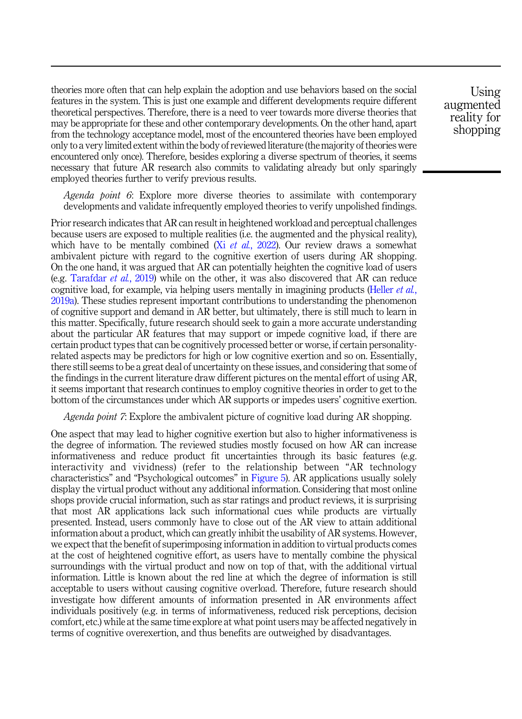theories more often that can help explain the adoption and use behaviors based on the social features in the system. This is just one example and different developments require different theoretical perspectives. Therefore, there is a need to veer towards more diverse theories that may be appropriate for these and other contemporary developments. On the other hand, apart from the technology acceptance model, most of the encountered theories have been employed only to a very limited extent within the body of reviewed literature (the majority of theories were encountered only once). Therefore, besides exploring a diverse spectrum of theories, it seems necessary that future AR research also commits to validating already but only sparingly employed theories further to verify previous results.

Agenda point 6: Explore more diverse theories to assimilate with contemporary developments and validate infrequently employed theories to verify unpolished findings.

Prior research indicates that AR can result in heightened workload and perceptual challenges because users are exposed to multiple realities (i.e. the augmented and the physical reality), which have to be mentally combined (Xi et al.[, 2022\)](#page-37-0). Our review draws a somewhat ambivalent picture with regard to the cognitive exertion of users during AR shopping. On the one hand, it was argued that AR can potentially heighten the cognitive load of users (e.g. [Tarafdar](#page-36-0) et al., 2019) while on the other, it was also discovered that AR can reduce cognitive load, for example, via helping users mentally in imagining products ([Heller](#page-32-0) *et al.*, [2019a](#page-32-0)). These studies represent important contributions to understanding the phenomenon of cognitive support and demand in AR better, but ultimately, there is still much to learn in this matter. Specifically, future research should seek to gain a more accurate understanding about the particular AR features that may support or impede cognitive load, if there are certain product types that can be cognitively processed better or worse, if certain personalityrelated aspects may be predictors for high or low cognitive exertion and so on. Essentially, there still seems to be a great deal of uncertainty on these issues, and considering that some of the findings in the current literature draw different pictures on the mental effort of using AR, it seems important that research continues to employ cognitive theories in order to get to the bottom of the circumstances under which AR supports or impedes users' cognitive exertion.

Agenda point 7: Explore the ambivalent picture of cognitive load during AR shopping.

One aspect that may lead to higher cognitive exertion but also to higher informativeness is the degree of information. The reviewed studies mostly focused on how AR can increase informativeness and reduce product fit uncertainties through its basic features (e.g. interactivity and vividness) (refer to the relationship between "AR technology characteristics" and "Psychological outcomes" in [Figure 5\)](#page-23-0). AR applications usually solely display the virtual product without any additional information. Considering that most online shops provide crucial information, such as star ratings and product reviews, it is surprising that most AR applications lack such informational cues while products are virtually presented. Instead, users commonly have to close out of the AR view to attain additional information about a product, which can greatly inhibit the usability of AR systems. However, we expect that the benefit of superimposing information in addition to virtual products comes at the cost of heightened cognitive effort, as users have to mentally combine the physical surroundings with the virtual product and now on top of that, with the additional virtual information. Little is known about the red line at which the degree of information is still acceptable to users without causing cognitive overload. Therefore, future research should investigate how different amounts of information presented in AR environments affect individuals positively (e.g. in terms of informativeness, reduced risk perceptions, decision comfort, etc.) while at the same time explore at what point users may be affected negatively in terms of cognitive overexertion, and thus benefits are outweighed by disadvantages.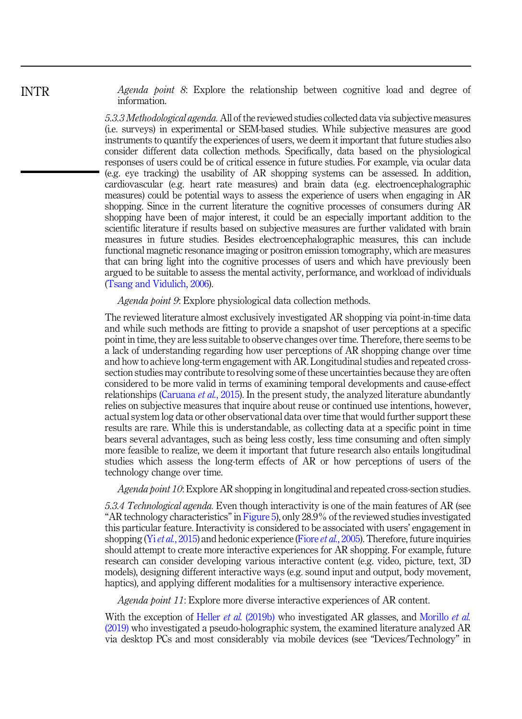Agenda point 8: Explore the relationship between cognitive load and degree of information.

5.3.3 Methodological agenda. All of the reviewed studies collected data via subjective measures (i.e. surveys) in experimental or SEM-based studies. While subjective measures are good instruments to quantify the experiences of users, we deem it important that future studies also consider different data collection methods. Specifically, data based on the physiological responses of users could be of critical essence in future studies. For example, via ocular data (e.g. eye tracking) the usability of AR shopping systems can be assessed. In addition, cardiovascular (e.g. heart rate measures) and brain data (e.g. electroencephalographic measures) could be potential ways to assess the experience of users when engaging in AR shopping. Since in the current literature the cognitive processes of consumers during AR shopping have been of major interest, it could be an especially important addition to the scientific literature if results based on subjective measures are further validated with brain measures in future studies. Besides electroencephalographic measures, this can include functional magnetic resonance imaging or positron emission tomography, which are measures that can bring light into the cognitive processes of users and which have previously been argued to be suitable to assess the mental activity, performance, and workload of individuals [\(Tsang and Vidulich, 2006](#page-36-0)).

Agenda point 9: Explore physiological data collection methods.

The reviewed literature almost exclusively investigated AR shopping via point-in-time data and while such methods are fitting to provide a snapshot of user perceptions at a specific point in time, they are less suitable to observe changes over time. Therefore, there seems to be a lack of understanding regarding how user perceptions of AR shopping change over time and how to achieve long-term engagement with AR. Longitudinal studies and repeated crosssection studies may contribute to resolving some of these uncertainties because they are often considered to be more valid in terms of examining temporal developments and cause-effect relationships ([Caruana](#page-31-0) *et al.*, 2015). In the present study, the analyzed literature abundantly relies on subjective measures that inquire about reuse or continued use intentions, however, actual system log data or other observational data over time that would further support these results are rare. While this is understandable, as collecting data at a specific point in time bears several advantages, such as being less costly, less time consuming and often simply more feasible to realize, we deem it important that future research also entails longitudinal studies which assess the long-term effects of AR or how perceptions of users of the technology change over time.

Agenda point 10: Explore AR shopping in longitudinal and repeated cross-section studies.

5.3.4 Technological agenda. Even though interactivity is one of the main features of AR (see "AR technology characteristics"in [Figure 5](#page-23-0)), only 28.9% of the reviewed studies investigated this particular feature. Interactivity is considered to be associated with users' engagement in shopping (Yi et al.[, 2015](#page-37-0)) and hedonic experience (Fiore et al.[, 2005](#page-32-0)). Therefore, future inquiries should attempt to create more interactive experiences for AR shopping. For example, future research can consider developing various interactive content (e.g. video, picture, text, 3D models), designing different interactive ways (e.g. sound input and output, body movement, haptics), and applying different modalities for a multisensory interactive experience.

Agenda point 11: Explore more diverse interactive experiences of AR content.

With the exception of Heller *et al.* [\(2019b\)](#page-33-0) who investigated AR glasses, and [Morillo](#page-34-0) *et al.* [\(2019\)](#page-34-0) who investigated a pseudo-holographic system, the examined literature analyzed AR via desktop PCs and most considerably via mobile devices (see "Devices/Technology" in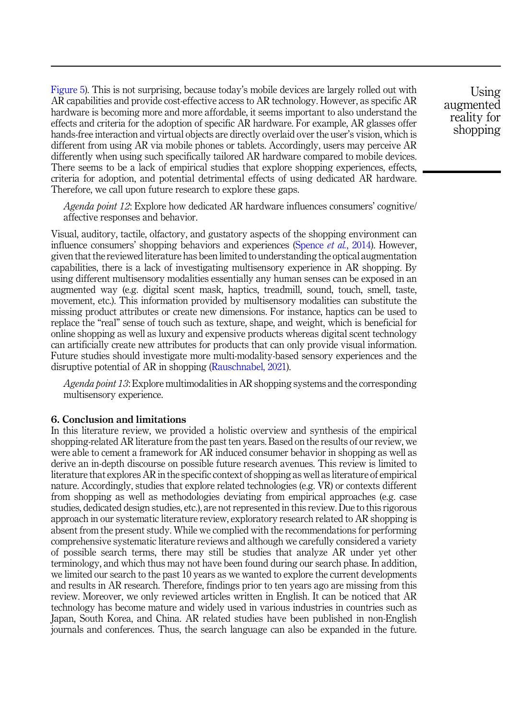<span id="page-30-0"></span>[Figure 5](#page-23-0)). This is not surprising, because today's mobile devices are largely rolled out with AR capabilities and provide cost-effective access to AR technology. However, as specific AR hardware is becoming more and more affordable, it seems important to also understand the effects and criteria for the adoption of specific AR hardware. For example, AR glasses offer hands-free interaction and virtual objects are directly overlaid over the user's vision, which is different from using AR via mobile phones or tablets. Accordingly, users may perceive AR differently when using such specifically tailored AR hardware compared to mobile devices. There seems to be a lack of empirical studies that explore shopping experiences, effects, criteria for adoption, and potential detrimental effects of using dedicated AR hardware. Therefore, we call upon future research to explore these gaps.

Agenda point 12: Explore how dedicated AR hardware influences consumers' cognitive/ affective responses and behavior.

Visual, auditory, tactile, olfactory, and gustatory aspects of the shopping environment can influence consumers' shopping behaviors and experiences [\(Spence](#page-36-0) *et al.*, 2014). However, given that the reviewed literature has been limited to understanding the optical augmentation capabilities, there is a lack of investigating multisensory experience in AR shopping. By using different multisensory modalities essentially any human senses can be exposed in an augmented way (e.g. digital scent mask, haptics, treadmill, sound, touch, smell, taste, movement, etc.). This information provided by multisensory modalities can substitute the missing product attributes or create new dimensions. For instance, haptics can be used to replace the "real" sense of touch such as texture, shape, and weight, which is beneficial for online shopping as well as luxury and expensive products whereas digital scent technology can artificially create new attributes for products that can only provide visual information. Future studies should investigate more multi-modality-based sensory experiences and the disruptive potential of AR in shopping [\(Rauschnabel, 2021\)](#page-35-0).

Agenda point 13: Explore multimodalities in AR shopping systems and the corresponding multisensory experience.

#### 6. Conclusion and limitations

In this literature review, we provided a holistic overview and synthesis of the empirical shopping-related AR literature from the past ten years. Based on the results of our review, we were able to cement a framework for AR induced consumer behavior in shopping as well as derive an in-depth discourse on possible future research avenues. This review is limited to literature that explores AR in the specific context of shopping as well as literature of empirical nature. Accordingly, studies that explore related technologies (e.g. VR) or contexts different from shopping as well as methodologies deviating from empirical approaches (e.g. case studies, dedicated design studies, etc.), are not represented in this review. Due to this rigorous approach in our systematic literature review, exploratory research related to AR shopping is absent from the present study. While we complied with the recommendations for performing comprehensive systematic literature reviews and although we carefully considered a variety of possible search terms, there may still be studies that analyze AR under yet other terminology, and which thus may not have been found during our search phase. In addition, we limited our search to the past 10 years as we wanted to explore the current developments and results in AR research. Therefore, findings prior to ten years ago are missing from this review. Moreover, we only reviewed articles written in English. It can be noticed that AR technology has become mature and widely used in various industries in countries such as Japan, South Korea, and China. AR related studies have been published in non-English journals and conferences. Thus, the search language can also be expanded in the future.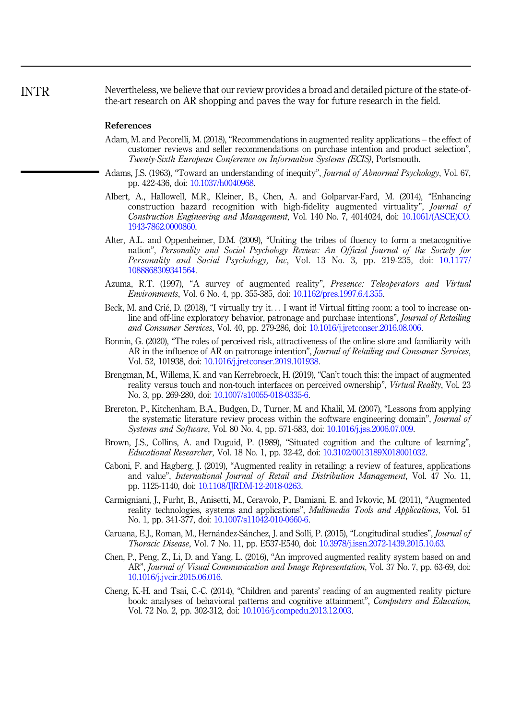<span id="page-31-0"></span>Nevertheless, we believe that our review provides a broad and detailed picture of the state-ofthe-art research on AR shopping and paves the way for future research in the field. INTR

#### References

- Adam, M. and Pecorelli, M. (2018), "Recommendations in augmented reality applications the effect of customer reviews and seller recommendations on purchase intention and product selection", Twenty-Sixth European Conference on Information Systems (ECIS), Portsmouth.
- Adams, J.S. (1963), "Toward an understanding of inequity", *Journal of Abnormal Psychology*, Vol. 67, pp. 422-436, doi: [10.1037/h0040968.](https://doi.org/10.1037/h0040968)
- Albert, A., Hallowell, M.R., Kleiner, B., Chen, A. and Golparvar-Fard, M. (2014), "Enhancing construction hazard recognition with high-fidelity augmented virtuality", Journal of Construction Engineering and Management, Vol. 140 No. 7, 4014024, doi: [10.1061/\(ASCE\)CO.](https://doi.org/10.1061/(ASCE)CO.1943-7862.0000860) [1943-7862.0000860](https://doi.org/10.1061/(ASCE)CO.1943-7862.0000860).
- Alter, A.L. and Oppenheimer, D.M. (2009), "Uniting the tribes of fluency to form a metacognitive nation", Personality and Social Psychology Review: An Official Journal of the Society for Personality and Social Psychology, Inc, Vol. 13 No. 3, pp. 219-235, doi: [10.1177/](https://doi.org/10.1177/1088868309341564) [1088868309341564.](https://doi.org/10.1177/1088868309341564)
- Azuma, R.T. (1997), "A survey of augmented reality", Presence: Teleoperators and Virtual Environments, Vol. 6 No. 4, pp. 355-385, doi: [10.1162/pres.1997.6.4.355.](https://doi.org/10.1162/pres.1997.6.4.355)
- Beck, M. and Crié, D. (2018), "I virtually try it... I want it! Virtual fitting room: a tool to increase online and off-line exploratory behavior, patronage and purchase intentions", Journal of Retailing and Consumer Services, Vol. 40, pp. 279-286, doi: [10.1016/j.jretconser.2016.08.006](https://doi.org/10.1016/j.jretconser.2016.08.006).
- Bonnin, G. (2020), "The roles of perceived risk, attractiveness of the online store and familiarity with AR in the influence of AR on patronage intention", *Journal of Retailing and Consumer Services*, Vol. 52, 101938, doi: [10.1016/j.jretconser.2019.101938](https://doi.org/10.1016/j.jretconser.2019.101938).
- Brengman, M., Willems, K. and van Kerrebroeck, H. (2019), "Can't touch this: the impact of augmented reality versus touch and non-touch interfaces on perceived ownership", Virtual Reality, Vol. 23 No. 3, pp. 269-280, doi: [10.1007/s10055-018-0335-6.](https://doi.org/10.1007/s10055-018-0335-6)
- Brereton, P., Kitchenham, B.A., Budgen, D., Turner, M. and Khalil, M. (2007), "Lessons from applying the systematic literature review process within the software engineering domain", *Journal of* Systems and Software, Vol. 80 No. 4, pp. 571-583, doi: [10.1016/j.jss.2006.07.009.](https://doi.org/10.1016/j.jss.2006.07.009)
- Brown, J.S., Collins, A. and Duguid, P. (1989), "Situated cognition and the culture of learning", Educational Researcher, Vol. 18 No. 1, pp. 32-42, doi: [10.3102/0013189X018001032](https://doi.org/10.3102/0013189X018001032).
- Caboni, F. and Hagberg, J. (2019), "Augmented reality in retailing: a review of features, applications and value", International Journal of Retail and Distribution Management, Vol. 47 No. 11, pp. 1125-1140, doi: [10.1108/IJRDM-12-2018-0263.](https://doi.org/10.1108/IJRDM-12-2018-0263)
- Carmigniani, J., Furht, B., Anisetti, M., Ceravolo, P., Damiani, E. and Ivkovic, M. (2011), "Augmented reality technologies, systems and applications", Multimedia Tools and Applications, Vol. 51 No. 1, pp. 341-377, doi: [10.1007/s11042-010-0660-6.](https://doi.org/10.1007/s11042-010-0660-6)
- Caruana, E.J., Roman, M., Hernández-Sánchez, J. and Solli, P. (2015), "Longitudinal studies", *Journal of* Thoracic Disease, Vol. 7 No. 11, pp. E537-E540, doi: [10.3978/j.issn.2072-1439.2015.10.63.](https://doi.org/10.3978/j.issn.2072-1439.2015.10.63)
- Chen, P., Peng, Z., Li, D. and Yang, L. (2016), "An improved augmented reality system based on and AR", Journal of Visual Communication and Image Representation, Vol. 37 No. 7, pp. 63-69, doi: [10.1016/j.jvcir.2015.06.016.](https://doi.org/10.1016/j.jvcir.2015.06.016)
- Cheng, K.-H. and Tsai, C.-C. (2014), "Children and parents' reading of an augmented reality picture book: analyses of behavioral patterns and cognitive attainment", Computers and Education, Vol. 72 No. 2, pp. 302-312, doi: [10.1016/j.compedu.2013.12.003](https://doi.org/10.1016/j.compedu.2013.12.003).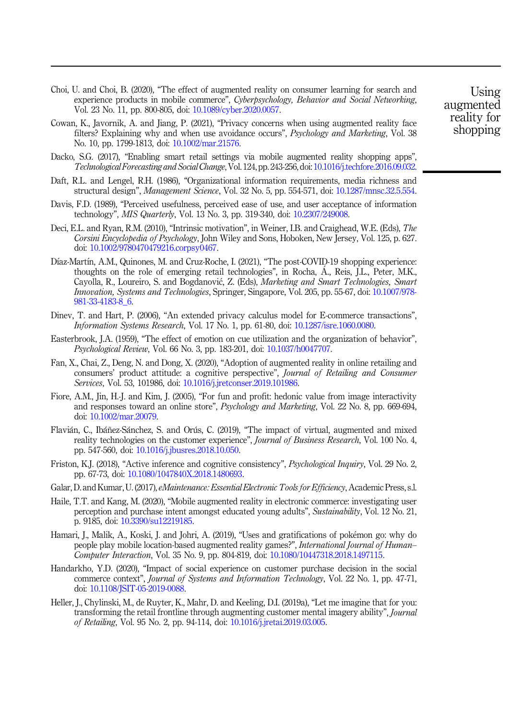- <span id="page-32-0"></span>Choi, U. and Choi, B. (2020), "The effect of augmented reality on consumer learning for search and experience products in mobile commerce", Cyberpsychology, Behavior and Social Networking, Vol. 23 No. 11, pp. 800-805, doi: [10.1089/cyber.2020.0057](https://doi.org/10.1089/cyber.2020.0057).
- Cowan, K., Javornik, A. and Jiang, P. (2021), "Privacy concerns when using augmented reality face filters? Explaining why and when use avoidance occurs", Psychology and Marketing, Vol. 38 No. 10, pp. 1799-1813, doi: [10.1002/mar.21576](https://doi.org/10.1002/mar.21576).
- Dacko, S.G. (2017), "Enabling smart retail settings via mobile augmented reality shopping apps", Technological Forecasting and Social Change, Vol. 124, pp. 243-256, doi: [10.1016/j.techfore.2016.09.032](https://doi.org/10.1016/j.techfore.2016.09.032).
- Daft, R.L. and Lengel, R.H. (1986), "Organizational information requirements, media richness and structural design", Management Science, Vol. 32 No. 5, pp. 554-571, doi: [10.1287/mnsc.32.5.554](https://doi.org/10.1287/mnsc.32.5.554).
- Davis, F.D. (1989), "Perceived usefulness, perceived ease of use, and user acceptance of information technology", *MIS Quarterly*, Vol. 13 No. 3, pp. 319-340, doi: [10.2307/249008](https://doi.org/10.2307/249008).
- Deci, E.L. and Ryan, R.M. (2010), "Intrinsic motivation", in Weiner, I.B. and Craighead, W.E. (Eds), The Corsini Encyclopedia of Psychology, John Wiley and Sons, Hoboken, New Jersey, Vol. 125, p. 627. doi: [10.1002/9780470479216.corpsy0467.](https://doi.org/10.1002/9780470479216.corpsy0467)
- Díaz-Martín, A.M., Quinones, M. and Cruz-Roche, I. (2021), "The post-COVID-19 shopping experience: thoughts on the role of emerging retail technologies", in Rocha, A., Reis, J.L., Peter, M.K., Cayolla, R., Loureiro, S. and Bogdanovic, Z. (Eds), Marketing and Smart Technologies, Smart Innovation, Systems and Technologies, Springer, Singapore, Vol. 205, pp. 55-67, doi: [10.1007/978-](https://doi.org/10.1007/978-981-33-4183-8_6) [981-33-4183-8\\_6](https://doi.org/10.1007/978-981-33-4183-8_6).
- Dinev, T. and Hart, P. (2006), "An extended privacy calculus model for E-commerce transactions", Information Systems Research, Vol. 17 No. 1, pp. 61-80, doi: [10.1287/isre.1060.0080.](https://doi.org/10.1287/isre.1060.0080)
- Easterbrook, J.A. (1959), "The effect of emotion on cue utilization and the organization of behavior", Psychological Review, Vol. 66 No. 3, pp. 183-201, doi: [10.1037/h0047707](https://doi.org/10.1037/h0047707).
- Fan, X., Chai, Z., Deng, N. and Dong, X. (2020), "Adoption of augmented reality in online retailing and consumers' product attitude: a cognitive perspective", Journal of Retailing and Consumer Services, Vol. 53, 101986, doi: [10.1016/j.jretconser.2019.101986](https://doi.org/10.1016/j.jretconser.2019.101986).
- Fiore, A.M., Jin, H.-J. and Kim, J. (2005), "For fun and profit: hedonic value from image interactivity and responses toward an online store", Psychology and Marketing, Vol. 22 No. 8, pp. 669-694, doi: [10.1002/mar.20079.](https://doi.org/10.1002/mar.20079)
- Flavián, C., Ibáñez-Sánchez, S. and Orús, C. (2019), "The impact of virtual, augmented and mixed reality technologies on the customer experience", Journal of Business Research, Vol. 100 No. 4, pp. 547-560, doi: [10.1016/j.jbusres.2018.10.050.](https://doi.org/10.1016/j.jbusres.2018.10.050)
- Friston, K.J. (2018), "Active inference and cognitive consistency", Psychological Inquiry, Vol. 29 No. 2, pp. 67-73, doi: [10.1080/1047840X.2018.1480693](https://doi.org/10.1080/1047840X.2018.1480693).
- Galar, D. and Kumar, U. (2017), eMaintenance: Essential Electronic Tools for Efficiency, Academic Press, s.l.
- Haile, T.T. and Kang, M. (2020), "Mobile augmented reality in electronic commerce: investigating user perception and purchase intent amongst educated young adults", Sustainability, Vol. 12 No. 21, p. 9185, doi: [10.3390/su12219185.](https://doi.org/10.3390/su12219185)
- Hamari, J., Malik, A., Koski, J. and Johri, A. (2019), "Uses and gratifications of pokemon go: why do people play mobile location-based augmented reality games?", International Journal of Human-Computer Interaction, Vol. 35 No. 9, pp. 804-819, doi: [10.1080/10447318.2018.1497115.](https://doi.org/10.1080/10447318.2018.1497115)
- Handarkho, Y.D. (2020), "Impact of social experience on customer purchase decision in the social commerce context", Journal of Systems and Information Technology, Vol. 22 No. 1, pp. 47-71, doi: [10.1108/JSIT-05-2019-0088](https://doi.org/10.1108/JSIT-05-2019-0088).
- Heller, J., Chylinski, M., de Ruyter, K., Mahr, D. and Keeling, D.I. (2019a), "Let me imagine that for you: transforming the retail frontline through augmenting customer mental imagery ability", Journal of Retailing, Vol. 95 No. 2, pp. 94-114, doi: [10.1016/j.jretai.2019.03.005.](https://doi.org/10.1016/j.jretai.2019.03.005)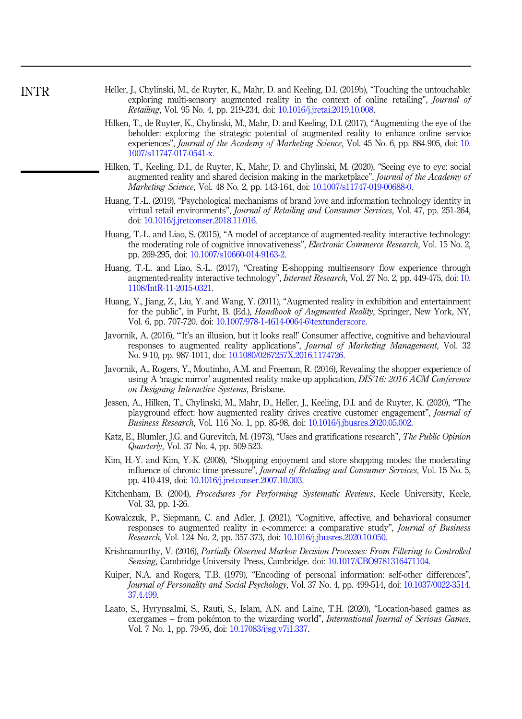- <span id="page-33-0"></span>Heller, J., Chylinski, M., de Ruyter, K., Mahr, D. and Keeling, D.I. (2019b), "Touching the untouchable: exploring multi-sensory augmented reality in the context of online retailing", *Journal of* Retailing, Vol. 95 No. 4, pp. 219-234, doi: [10.1016/j.jretai.2019.10.008](https://doi.org/10.1016/j.jretai.2019.10.008).
- Hilken, T., de Ruyter, K., Chylinski, M., Mahr, D. and Keeling, D.I. (2017), "Augmenting the eye of the beholder: exploring the strategic potential of augmented reality to enhance online service experiences", *Journal of the Academy of Marketing Science*, Vol. 45 No. 6, pp. 884-905, doi: [10.](https://doi.org/10.1007/s11747-017-0541-x) [1007/s11747-017-0541-x](https://doi.org/10.1007/s11747-017-0541-x).
- Hilken, T., Keeling, D.I., de Ruyter, K., Mahr, D. and Chylinski, M. (2020), "Seeing eye to eye: social augmented reality and shared decision making in the marketplace", Journal of the Academy of Marketing Science, Vol. 48 No. 2, pp. 143-164, doi: [10.1007/s11747-019-00688-0.](https://doi.org/10.1007/s11747-019-00688-0)
- Huang, T.-L. (2019), "Psychological mechanisms of brand love and information technology identity in virtual retail environments", Journal of Retailing and Consumer Services, Vol. 47, pp. 251-264, doi: [10.1016/j.jretconser.2018.11.016.](https://doi.org/10.1016/j.jretconser.2018.11.016)
- Huang, T.-L. and Liao, S. (2015), "A model of acceptance of augmented-reality interactive technology: the moderating role of cognitive innovativeness", *Electronic Commerce Research*, Vol. 15 No. 2, pp. 269-295, doi: [10.1007/s10660-014-9163-2](https://doi.org/10.1007/s10660-014-9163-2).
- Huang, T.-L. and Liao, S.-L. (2017), "Creating E-shopping multisensory flow experience through augmented-reality interactive technology", Internet Research, Vol. 27 No. 2, pp. 449-475, doi: [10.](https://doi.org/10.1108/IntR-11-2015-0321) [1108/IntR-11-2015-0321](https://doi.org/10.1108/IntR-11-2015-0321).
- Huang, Y., Jiang, Z., Liu, Y. and Wang, Y. (2011), "Augmented reality in exhibition and entertainment for the public", in Furht, B. (Ed.), Handbook of Augmented Reality, Springer, New York, NY, Vol. 6, pp. 707-720. doi: [10.1007/978-1-4614-0064-6\textunderscore](https://doi.org/10.1007/978-1-4614-0064-6\textunderscore).
- Javornik, A. (2016), "'It's an illusion, but it looks real!' Consumer affective, cognitive and behavioural responses to augmented reality applications", Journal of Marketing Management, Vol. 32 No. 9-10, pp. 987-1011, doi: [10.1080/0267257X.2016.1174726.](https://doi.org/10.1080/0267257X.2016.1174726)
- Javornik, A., Rogers, Y., Moutinho, A.M. and Freeman, R. (2016), Revealing the shopper experience of using A 'magic mirror' augmented reality make-up application, DIS'16: 2016 ACM Conference on Designing Interactive Systems, Brisbane.
- Jessen, A., Hilken, T., Chylinski, M., Mahr, D., Heller, J., Keeling, D.I. and de Ruyter, K. (2020), "The playground effect: how augmented reality drives creative customer engagement", Journal of Business Research, Vol. 116 No. 1, pp. 85-98, doi: [10.1016/j.jbusres.2020.05.002.](https://doi.org/10.1016/j.jbusres.2020.05.002)
- Katz, E., Blumler, J.G. and Gurevitch, M. (1973), "Uses and gratifications research", The Public Opinion Quarterly, Vol. 37 No. 4, pp. 509-523.
- Kim, H.-Y. and Kim, Y.-K. (2008), "Shopping enjoyment and store shopping modes: the moderating influence of chronic time pressure", Journal of Retailing and Consumer Services, Vol. 15 No. 5, pp. 410-419, doi: [10.1016/j.jretconser.2007.10.003.](https://doi.org/10.1016/j.jretconser.2007.10.003)
- Kitchenham, B. (2004), Procedures for Performing Systematic Reviews, Keele University, Keele, Vol. 33, pp. 1-26.
- Kowalczuk, P., Siepmann, C. and Adler, J. (2021), "Cognitive, affective, and behavioral consumer responses to augmented reality in e-commerce: a comparative study", Journal of Business Research, Vol. 124 No. 2, pp. 357-373, doi: [10.1016/j.jbusres.2020.10.050.](https://doi.org/10.1016/j.jbusres.2020.10.050)
- Krishnamurthy, V. (2016), Partially Observed Markov Decision Processes: From Filtering to Controlled Sensing, Cambridge University Press, Cambridge. doi: [10.1017/CBO9781316471104](https://doi.org/10.1017/CBO9781316471104).
- Kuiper, N.A. and Rogers, T.B. (1979), "Encoding of personal information: self-other differences", Journal of Personality and Social Psychology, Vol. 37 No. 4, pp. 499-514, doi: [10.1037/0022-3514.](https://doi.org/10.1037/0022-3514.37.4.499) [37.4.499](https://doi.org/10.1037/0022-3514.37.4.499).
- Laato, S., Hyrynsalmi, S., Rauti, S., Islam, A.N. and Laine, T.H. (2020), "Location-based games as exergames – from pokémon to the wizarding world", *International Journal of Serious Games*, Vol. 7 No. 1, pp. 79-95, doi: [10.17083/ijsg.v7i1.337](https://doi.org/10.17083/ijsg.v7i1.337).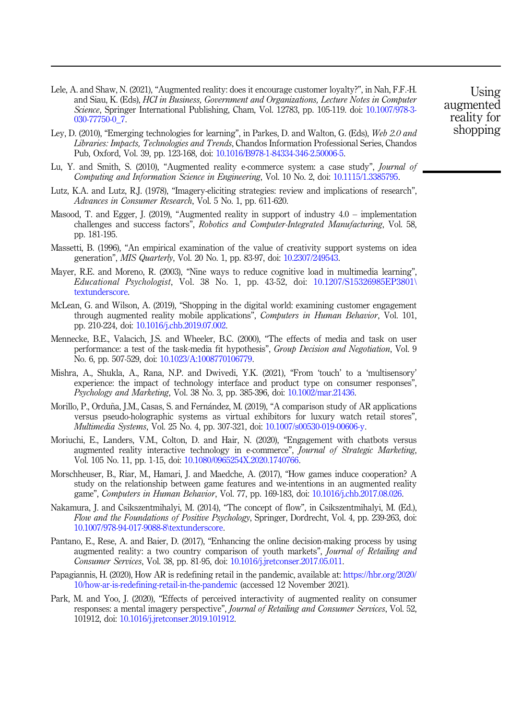- <span id="page-34-0"></span>Lele, A. and Shaw, N. (2021), "Augmented reality: does it encourage customer loyalty?", in Nah, F.F.-H. and Siau, K. (Eds), HCI in Business, Government and Organizations, Lecture Notes in Computer Science, Springer International Publishing, Cham, Vol. 12783, pp. 105-119. doi: [10.1007/978-3-](https://doi.org/10.1007/978-3-030-77750-0_7) [030-77750-0\\_7](https://doi.org/10.1007/978-3-030-77750-0_7).
- Ley, D. (2010), "Emerging technologies for learning", in Parkes, D. and Walton, G. (Eds), Web 2.0 and Libraries: Impacts, Technologies and Trends, Chandos Information Professional Series, Chandos Pub, Oxford, Vol. 39, pp. 123-168, doi: [10.1016/B978-1-84334-346-2.50006-5.](https://doi.org/10.1016/B978-1-84334-346-2.50006-5)
- Lu, Y. and Smith, S. (2010), "Augmented reality e-commerce system: a case study", Journal of Computing and Information Science in Engineering, Vol. 10 No. 2, doi: [10.1115/1.3385795](https://doi.org/10.1115/1.3385795).
- Lutz, K.A. and Lutz, R.J. (1978), "Imagery-eliciting strategies: review and implications of research", Advances in Consumer Research, Vol. 5 No. 1, pp. 611-620.
- Masood, T. and Egger, J. (2019), "Augmented reality in support of industry 4.0 implementation challenges and success factors", Robotics and Computer-Integrated Manufacturing, Vol. 58, pp. 181-195.
- Massetti, B. (1996), "An empirical examination of the value of creativity support systems on idea generation", MIS Quarterly, Vol. 20 No. 1, pp. 83-97, doi: [10.2307/249543.](https://doi.org/10.2307/249543)
- Mayer, R.E. and Moreno, R. (2003), "Nine ways to reduce cognitive load in multimedia learning", Educational Psychologist, Vol. 38 No. 1, pp. 43-52, doi: [10.1207/S15326985EP3801\](https://doi.org/10.1207/S15326985EP3801\textunderscore) [textunderscore.](https://doi.org/10.1207/S15326985EP3801\textunderscore)
- McLean, G. and Wilson, A. (2019), "Shopping in the digital world: examining customer engagement through augmented reality mobile applications", Computers in Human Behavior, Vol. 101, pp. 210-224, doi: [10.1016/j.chb.2019.07.002.](https://doi.org/10.1016/j.chb.2019.07.002)
- Mennecke, B.E., Valacich, J.S. and Wheeler, B.C. (2000), "The effects of media and task on user performance: a test of the task-media fit hypothesis", Group Decision and Negotiation, Vol. 9 No. 6, pp. 507-529, doi: [10.1023/A:1008770106779](https://doi.org/10.1023/A:1008770106779).
- Mishra, A., Shukla, A., Rana, N.P. and Dwivedi, Y.K. (2021), "From 'touch' to a 'multisensory' experience: the impact of technology interface and product type on consumer responses", Psychology and Marketing, Vol. 38 No. 3, pp. 385-396, doi: [10.1002/mar.21436](https://doi.org/10.1002/mar.21436).
- Morillo, P., Orduña, J.M., Casas, S. and Fernández, M. (2019), "A comparison study of AR applications versus pseudo-holographic systems as virtual exhibitors for luxury watch retail stores", Multimedia Systems, Vol. 25 No. 4, pp. 307-321, doi: [10.1007/s00530-019-00606-y.](https://doi.org/10.1007/s00530-019-00606-y)
- Moriuchi, E., Landers, V.M., Colton, D. and Hair, N. (2020), "Engagement with chatbots versus augmented reality interactive technology in e-commerce", Journal of Strategic Marketing, Vol. 105 No. 11, pp. 1-15, doi: [10.1080/0965254X.2020.1740766.](https://doi.org/10.1080/0965254X.2020.1740766)
- Morschheuser, B., Riar, M., Hamari, J. and Maedche, A. (2017), "How games induce cooperation? A study on the relationship between game features and we-intentions in an augmented reality game", Computers in Human Behavior, Vol. 77, pp. 169-183, doi: [10.1016/j.chb.2017.08.026.](https://doi.org/10.1016/j.chb.2017.08.026)
- Nakamura, J. and Csikszentmihalyi, M. (2014), "The concept of flow", in Csikszentmihalyi, M. (Ed.), Flow and the Foundations of Positive Psychology, Springer, Dordrecht, Vol. 4, pp. 239-263, doi: [10.1007/978-94-017-9088-8\textunderscore](https://doi.org/10.1007/978-94-017-9088-8\textunderscore).
- Pantano, E., Rese, A. and Baier, D. (2017), "Enhancing the online decision-making process by using augmented reality: a two country comparison of youth markets", *Journal of Retailing and* Consumer Services, Vol. 38, pp. 81-95, doi: [10.1016/j.jretconser.2017.05.011.](https://doi.org/10.1016/j.jretconser.2017.05.011)
- Papagiannis, H. (2020), How AR is redefining retail in the pandemic, available at: [https://hbr.org/2020/](https://hbr.org/2020/10/how-ar-is-redefining-retail-in-the-pandemic) [10/how-ar-is-redefining-retail-in-the-pandemic](https://hbr.org/2020/10/how-ar-is-redefining-retail-in-the-pandemic) (accessed 12 November 2021).
- Park, M. and Yoo, J. (2020), "Effects of perceived interactivity of augmented reality on consumer responses: a mental imagery perspective", Journal of Retailing and Consumer Services, Vol. 52, 101912, doi: [10.1016/j.jretconser.2019.101912](https://doi.org/10.1016/j.jretconser.2019.101912).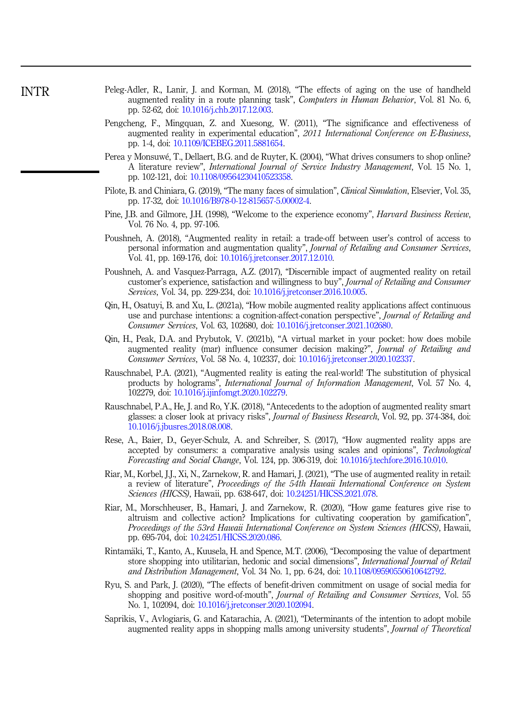- <span id="page-35-0"></span>Peleg-Adler, R., Lanir, J. and Korman, M. (2018), "The effects of aging on the use of handheld augmented reality in a route planning task", Computers in Human Behavior, Vol. 81 No. 6, pp. 52-62, doi: [10.1016/j.chb.2017.12.003.](https://doi.org/10.1016/j.chb.2017.12.003)
- Pengcheng, F., Mingquan, Z. and Xuesong, W. (2011), "The significance and effectiveness of augmented reality in experimental education", 2011 International Conference on E-Business, pp. 1-4, doi: [10.1109/ICEBEG.2011.5881654.](https://doi.org/10.1109/ICEBEG.2011.5881654)
- Perea y Monsuwe, T., Dellaert, B.G. and de Ruyter, K. (2004), "What drives consumers to shop online? A literature review", International Journal of Service Industry Management, Vol. 15 No. 1, pp. 102-121, doi: [10.1108/09564230410523358](https://doi.org/10.1108/09564230410523358).
- Pilote, B. and Chiniara, G. (2019), "The many faces of simulation", *Clinical Simulation*, Elsevier, Vol. 35, pp. 17-32, doi: [10.1016/B978-0-12-815657-5.00002-4.](https://doi.org/10.1016/B978-0-12-815657-5.00002-4)
- Pine, J.B. and Gilmore, J.H. (1998), "Welcome to the experience economy", Harvard Business Review, Vol. 76 No. 4, pp. 97-106.
- Poushneh, A. (2018), "Augmented reality in retail: a trade-off between user's control of access to personal information and augmentation quality", Journal of Retailing and Consumer Services, Vol. 41, pp. 169-176, doi: [10.1016/j.jretconser.2017.12.010](https://doi.org/10.1016/j.jretconser.2017.12.010).
- Poushneh, A. and Vasquez-Parraga, A.Z. (2017), "Discernible impact of augmented reality on retail customer's experience, satisfaction and willingness to buy", Journal of Retailing and Consumer Services, Vol. 34, pp. 229-234, doi: [10.1016/j.jretconser.2016.10.005](https://doi.org/10.1016/j.jretconser.2016.10.005).
- Qin, H., Osatuyi, B. and Xu, L. (2021a), "How mobile augmented reality applications affect continuous use and purchase intentions: a cognition-affect-conation perspective", Journal of Retailing and Consumer Services, Vol. 63, 102680, doi: [10.1016/j.jretconser.2021.102680.](https://doi.org/10.1016/j.jretconser.2021.102680)
- Qin, H., Peak, D.A. and Prybutok, V. (2021b), "A virtual market in your pocket: how does mobile augmented reality (mar) influence consumer decision making?", Journal of Retailing and Consumer Services, Vol. 58 No. 4, 102337, doi: [10.1016/j.jretconser.2020.102337](https://doi.org/10.1016/j.jretconser.2020.102337).
- Rauschnabel, P.A. (2021), "Augmented reality is eating the real-world! The substitution of physical products by holograms", *International Journal of Information Management*, Vol. 57 No. 4, 102279, doi: [10.1016/j.ijinfomgt.2020.102279.](https://doi.org/10.1016/j.ijinfomgt.2020.102279)
- Rauschnabel, P.A., He, J. and Ro, Y.K. (2018), "Antecedents to the adoption of augmented reality smart glasses: a closer look at privacy risks", Journal of Business Research, Vol. 92, pp. 374-384, doi: [10.1016/j.jbusres.2018.08.008](https://doi.org/10.1016/j.jbusres.2018.08.008).
- Rese, A., Baier, D., Geyer-Schulz, A. and Schreiber, S. (2017), "How augmented reality apps are accepted by consumers: a comparative analysis using scales and opinions", Technological Forecasting and Social Change, Vol. 124, pp. 306-319, doi: [10.1016/j.techfore.2016.10.010.](https://doi.org/10.1016/j.techfore.2016.10.010)
- Riar, M., Korbel, J.J., Xi, N., Zarnekow, R. and Hamari, J. (2021), "The use of augmented reality in retail: a review of literature", Proceedings of the 54th Hawaii International Conference on System Sciences (HICSS), Hawaii, pp. 638-647, doi: [10.24251/HICSS.2021.078](https://doi.org/10.24251/HICSS.2021.078).
- Riar, M., Morschheuser, B., Hamari, J. and Zarnekow, R. (2020), "How game features give rise to altruism and collective action? Implications for cultivating cooperation by gamification", Proceedings of the 53rd Hawaii International Conference on System Sciences (HICSS), Hawaii, pp. 695-704, doi: [10.24251/HICSS.2020.086.](https://doi.org/10.24251/HICSS.2020.086)
- Rintam€aki, T., Kanto, A., Kuusela, H. and Spence, M.T. (2006), "Decomposing the value of department store shopping into utilitarian, hedonic and social dimensions", International Journal of Retail and Distribution Management, Vol. 34 No. 1, pp. 6-24, doi: [10.1108/09590550610642792.](https://doi.org/10.1108/09590550610642792)
- Ryu, S. and Park, J. (2020), "The effects of benefit-driven commitment on usage of social media for shopping and positive word-of-mouth", Journal of Retailing and Consumer Services, Vol. 55 No. 1, 102094, doi: [10.1016/j.jretconser.2020.102094.](https://doi.org/10.1016/j.jretconser.2020.102094)
- Saprikis, V., Avlogiaris, G. and Katarachia, A. (2021), "Determinants of the intention to adopt mobile augmented reality apps in shopping malls among university students", Journal of Theoretical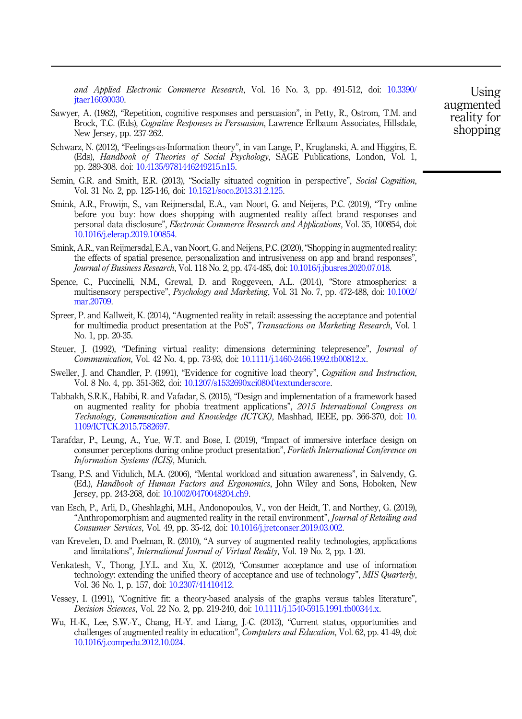<span id="page-36-0"></span>and Applied Electronic Commerce Research, Vol. 16 No. 3, pp. 491-512, doi: [10.3390/](https://doi.org/10.3390/jtaer16030030) itaer16030030.

- Sawyer, A. (1982), "Repetition, cognitive responses and persuasion", in Petty, R., Ostrom, T.M. and Brock, T.C. (Eds), Cognitive Responses in Persuasion, Lawrence Erlbaum Associates, Hillsdale, New Jersey, pp. 237-262.
- Schwarz, N. (2012), "Feelings-as-Information theory", in van Lange, P., Kruglanski, A. and Higgins, E. (Eds), Handbook of Theories of Social Psychology, SAGE Publications, London, Vol. 1, pp. 289-308. doi: [10.4135/9781446249215.n15](https://doi.org/10.4135/9781446249215.n15).
- Semin, G.R. and Smith, E.R. (2013), "Socially situated cognition in perspective", Social Cognition, Vol. 31 No. 2, pp. 125-146, doi: [10.1521/soco.2013.31.2.125](https://doi.org/10.1521/soco.2013.31.2.125).
- Smink, A.R., Frowijn, S., van Reijmersdal, E.A., van Noort, G. and Neijens, P.C. (2019), "Try online before you buy: how does shopping with augmented reality affect brand responses and personal data disclosure", Electronic Commerce Research and Applications, Vol. 35, 100854, doi: [10.1016/j.elerap.2019.100854](https://doi.org/10.1016/j.elerap.2019.100854).
- Smink, A.R., van Reijmersdal, E.A., van Noort, G. and Neijens, P.C. (2020),"Shopping in augmented reality: the effects of spatial presence, personalization and intrusiveness on app and brand responses", Journal of Business Research, Vol. 118 No. 2, pp. 474-485, doi: [10.1016/j.jbusres.2020.07.018](https://doi.org/10.1016/j.jbusres.2020.07.018).
- Spence, C., Puccinelli, N.M., Grewal, D. and Roggeveen, A.L. (2014), "Store atmospherics: a multisensory perspective", Psychology and Marketing, Vol. 31 No. 7, pp. 472-488, doi: [10.1002/](https://doi.org/10.1002/mar.20709) [mar.20709](https://doi.org/10.1002/mar.20709).
- Spreer, P. and Kallweit, K. (2014), "Augmented reality in retail: assessing the acceptance and potential for multimedia product presentation at the PoS", Transactions on Marketing Research, Vol. 1 No. 1, pp. 20-35.
- Steuer, J. (1992), "Defining virtual reality: dimensions determining telepresence", *Journal of* Communication, Vol. 42 No. 4, pp. 73-93, doi: [10.1111/j.1460-2466.1992.tb00812.x](https://doi.org/10.1111/j.1460-2466.1992.tb00812.x).
- Sweller, J. and Chandler, P. (1991), "Evidence for cognitive load theory", Cognition and Instruction, Vol. 8 No. 4, pp. 351-362, doi: [10.1207/s1532690xci0804\textunderscore](https://doi.org/10.1207/s1532690xci0804\textunderscore).
- Tabbakh, S.R.K., Habibi, R. and Vafadar, S. (2015), "Design and implementation of a framework based on augmented reality for phobia treatment applications", 2015 International Congress on Technology, Communication and Knowledge (ICTCK), Mashhad, IEEE, pp. 366-370, doi: [10.](https://doi.org/10.1109/ICTCK.2015.7582697) [1109/ICTCK.2015.7582697.](https://doi.org/10.1109/ICTCK.2015.7582697)
- Tarafdar, P., Leung, A., Yue, W.T. and Bose, I. (2019), "Impact of immersive interface design on consumer perceptions during online product presentation", Fortieth International Conference on Information Systems (ICIS), Munich.
- Tsang, P.S. and Vidulich, M.A. (2006), "Mental workload and situation awareness", in Salvendy, G. (Ed.), Handbook of Human Factors and Ergonomics, John Wiley and Sons, Hoboken, New Jersey, pp. 243-268, doi: [10.1002/0470048204.ch9](https://doi.org/10.1002/0470048204.ch9).
- van Esch, P., Arli, D., Gheshlaghi, M.H., Andonopoulos, V., von der Heidt, T. and Northey, G. (2019), "Anthropomorphism and augmented reality in the retail environment", Journal of Retailing and Consumer Services, Vol. 49, pp. 35-42, doi: [10.1016/j.jretconser.2019.03.002.](https://doi.org/10.1016/j.jretconser.2019.03.002)
- van Krevelen, D. and Poelman, R. (2010), "A survey of augmented reality technologies, applications and limitations", International Journal of Virtual Reality, Vol. 19 No. 2, pp. 1-20.
- Venkatesh, V., Thong, J.Y.L. and Xu, X. (2012), "Consumer acceptance and use of information technology: extending the unified theory of acceptance and use of technology", MIS Quarterly, Vol. 36 No. 1, p. 157, doi: [10.2307/41410412](https://doi.org/10.2307/41410412).
- Vessey, I. (1991), "Cognitive fit: a theory-based analysis of the graphs versus tables literature", Decision Sciences, Vol. 22 No. 2, pp. 219-240, doi: [10.1111/j.1540-5915.1991.tb00344.x.](https://doi.org/10.1111/j.1540-5915.1991.tb00344.x)
- Wu, H.-K., Lee, S.W.-Y., Chang, H.-Y. and Liang, J.-C. (2013), "Current status, opportunities and challenges of augmented reality in education", Computers and Education, Vol. 62, pp. 41-49, doi: [10.1016/j.compedu.2012.10.024](https://doi.org/10.1016/j.compedu.2012.10.024).